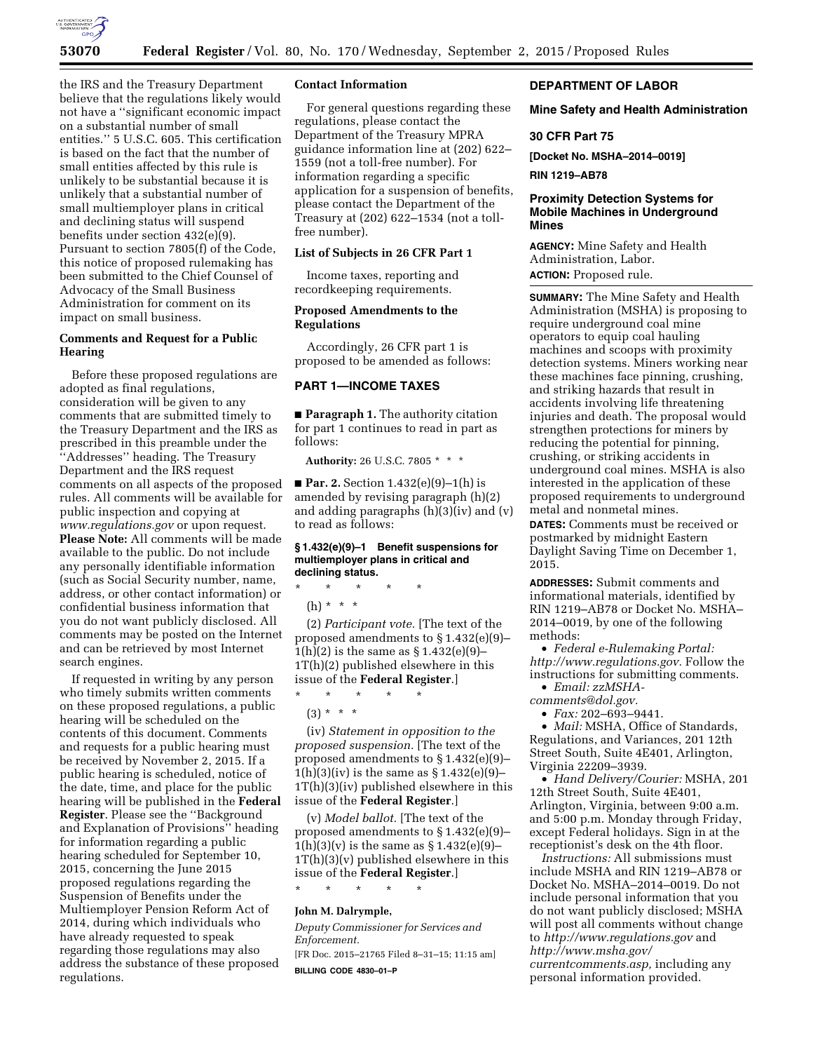

the IRS and the Treasury Department believe that the regulations likely would not have a ''significant economic impact on a substantial number of small entities.'' 5 U.S.C. 605. This certification is based on the fact that the number of small entities affected by this rule is unlikely to be substantial because it is unlikely that a substantial number of small multiemployer plans in critical and declining status will suspend benefits under section 432(e)(9). Pursuant to section 7805(f) of the Code, this notice of proposed rulemaking has been submitted to the Chief Counsel of Advocacy of the Small Business Administration for comment on its impact on small business.

# **Comments and Request for a Public Hearing**

Before these proposed regulations are adopted as final regulations, consideration will be given to any comments that are submitted timely to the Treasury Department and the IRS as prescribed in this preamble under the ''Addresses'' heading. The Treasury Department and the IRS request comments on all aspects of the proposed rules. All comments will be available for public inspection and copying at *[www.regulations.gov](http://www.regulations.gov)* or upon request. **Please Note:** All comments will be made available to the public. Do not include any personally identifiable information (such as Social Security number, name, address, or other contact information) or confidential business information that you do not want publicly disclosed. All comments may be posted on the Internet and can be retrieved by most Internet search engines.

If requested in writing by any person who timely submits written comments on these proposed regulations, a public hearing will be scheduled on the contents of this document. Comments and requests for a public hearing must be received by November 2, 2015. If a public hearing is scheduled, notice of the date, time, and place for the public hearing will be published in the **Federal Register**. Please see the ''Background and Explanation of Provisions'' heading for information regarding a public hearing scheduled for September 10, 2015, concerning the June 2015 proposed regulations regarding the Suspension of Benefits under the Multiemployer Pension Reform Act of 2014, during which individuals who have already requested to speak regarding those regulations may also address the substance of these proposed regulations.

## **Contact Information**

For general questions regarding these regulations, please contact the Department of the Treasury MPRA guidance information line at (202) 622– 1559 (not a toll-free number). For information regarding a specific application for a suspension of benefits, please contact the Department of the Treasury at (202) 622–1534 (not a tollfree number).

## **List of Subjects in 26 CFR Part 1**

Income taxes, reporting and recordkeeping requirements.

# **Proposed Amendments to the Regulations**

Accordingly, 26 CFR part 1 is proposed to be amended as follows:

# **PART 1—INCOME TAXES**

■ **Paragraph 1.** The authority citation for part 1 continues to read in part as follows:

**Authority:** 26 U.S.C. 7805 \* \* \*

■ **Par. 2.** Section 1.432(e)(9)–1(h) is amended by revising paragraph (h)(2) and adding paragraphs (h)(3)(iv) and (v) to read as follows:

#### **§ 1.432(e)(9)–1 Benefit suspensions for multiemployer plans in critical and declining status.**

\* \* \* \* \*

(h) \* \* \*

(2) *Participant vote.* [The text of the proposed amendments to § 1.432(e)(9)–  $1(h)(2)$  is the same as  $§ 1.432(e)(9)$ 1T(h)(2) published elsewhere in this issue of the **Federal Register**.]

\* \* \* \* \*

 $(3) * * * *$ 

(iv) *Statement in opposition to the proposed suspension.* [The text of the proposed amendments to § 1.432(e)(9)–  $1(h)(3)(iv)$  is the same as  $§ 1.432(e)(9)$ -1T(h)(3)(iv) published elsewhere in this issue of the **Federal Register**.]

(v) *Model ballot.* [The text of the proposed amendments to § 1.432(e)(9)–  $1(h)(3)(v)$  is the same as  $§ 1.432(e)(9)$ -1T(h)(3)(v) published elsewhere in this issue of the **Federal Register**.] \* \* \* \* \*

#### **John M. Dalrymple,**

*Deputy Commissioner for Services and Enforcement.* 

[FR Doc. 2015–21765 Filed 8–31–15; 11:15 am] **BILLING CODE 4830–01–P** 

# **DEPARTMENT OF LABOR**

## **Mine Safety and Health Administration**

# **30 CFR Part 75**

**[Docket No. MSHA–2014–0019]** 

**RIN 1219–AB78** 

## **Proximity Detection Systems for Mobile Machines in Underground Mines**

**AGENCY:** Mine Safety and Health Administration, Labor. **ACTION:** Proposed rule.

**SUMMARY:** The Mine Safety and Health Administration (MSHA) is proposing to require underground coal mine operators to equip coal hauling machines and scoops with proximity detection systems. Miners working near these machines face pinning, crushing, and striking hazards that result in accidents involving life threatening injuries and death. The proposal would strengthen protections for miners by reducing the potential for pinning, crushing, or striking accidents in underground coal mines. MSHA is also interested in the application of these proposed requirements to underground metal and nonmetal mines.

**DATES:** Comments must be received or postmarked by midnight Eastern Daylight Saving Time on December 1, 2015.

**ADDRESSES:** Submit comments and informational materials, identified by RIN 1219–AB78 or Docket No. MSHA– 2014–0019, by one of the following methods:

• *Federal e-Rulemaking Portal: [http://www.regulations.gov.](http://www.regulations.gov)* Follow the instructions for submitting comments.

• *Email: [zzMSHA-](mailto:zzMSHA-comments@dol.gov)*

*[comments@dol.gov.](mailto:zzMSHA-comments@dol.gov)* 

• *Fax:* 202–693–9441.

• *Mail:* MSHA, Office of Standards, Regulations, and Variances, 201 12th Street South, Suite 4E401, Arlington, Virginia 22209–3939.

• *Hand Delivery/Courier:* MSHA, 201 12th Street South, Suite 4E401, Arlington, Virginia, between 9:00 a.m. and 5:00 p.m. Monday through Friday, except Federal holidays. Sign in at the receptionist's desk on the 4th floor.

*Instructions:* All submissions must include MSHA and RIN 1219–AB78 or Docket No. MSHA–2014–0019. Do not include personal information that you do not want publicly disclosed; MSHA will post all comments without change to *<http://www.regulations.gov>*and *[http://www.msha.gov/](http://www.msha.gov/currentcomments.asp) [currentcomments.asp,](http://www.msha.gov/currentcomments.asp)* including any personal information provided.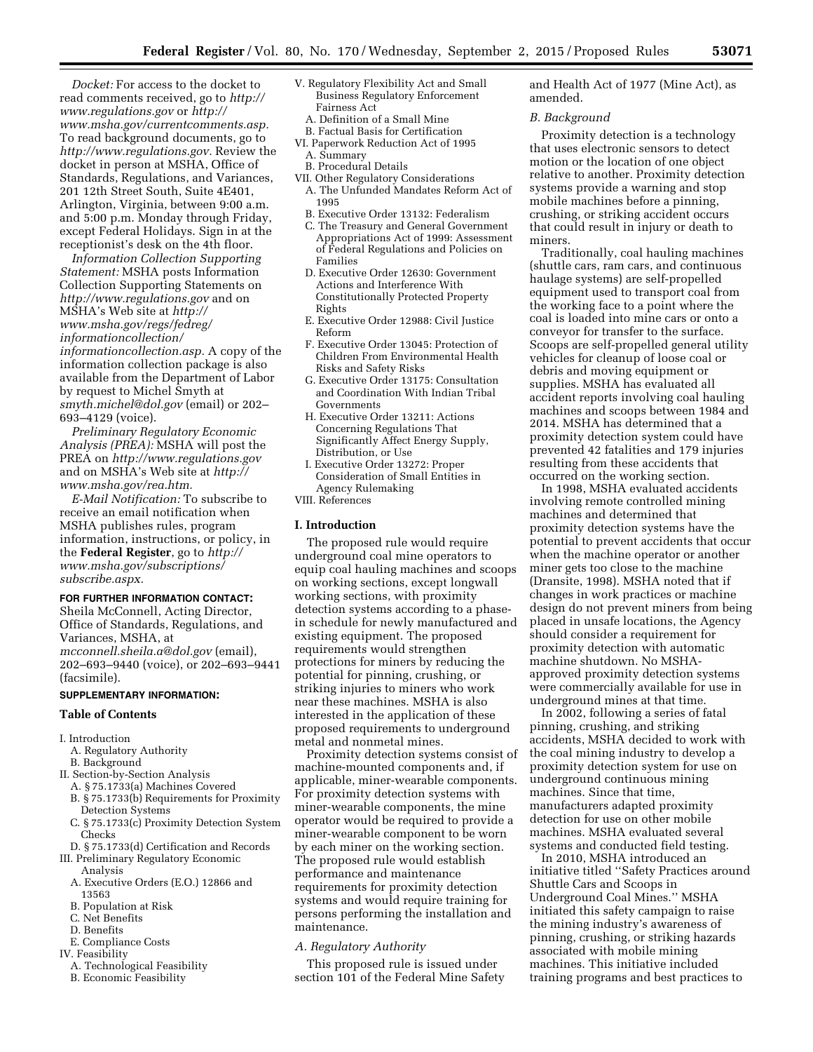*Docket:* For access to the docket to read comments received, go to *[http://](http://www.regulations.gov) [www.regulations.gov](http://www.regulations.gov)* or *[http://](http://www.msha.gov/currentcomments.asp)  [www.msha.gov/currentcomments.asp.](http://www.msha.gov/currentcomments.asp)*  To read background documents, go to *[http://www.regulations.gov.](http://www.regulations.gov)* Review the docket in person at MSHA, Office of Standards, Regulations, and Variances, 201 12th Street South, Suite 4E401, Arlington, Virginia, between 9:00 a.m. and 5:00 p.m. Monday through Friday, except Federal Holidays. Sign in at the receptionist's desk on the 4th floor.

*Information Collection Supporting Statement:* MSHA posts Information Collection Supporting Statements on *<http://www.regulations.gov>* and on MSHA's Web site at *[http://](http://www.msha.gov/regs/fedreg/informationcollection/informationcollection.asp) [www.msha.gov/regs/fedreg/](http://www.msha.gov/regs/fedreg/informationcollection/informationcollection.asp)  [informationcollection/](http://www.msha.gov/regs/fedreg/informationcollection/informationcollection.asp) [informationcollection.asp.](http://www.msha.gov/regs/fedreg/informationcollection/informationcollection.asp)* A copy of the information collection package is also available from the Department of Labor by request to Michel Smyth at *[smyth.michel@dol.gov](mailto:smyth.michel@dol.gov)* (email) or 202– 693–4129 (voice).

*Preliminary Regulatory Economic Analysis (PREA):* MSHA will post the PREA on *<http://www.regulations.gov>* and on MSHA's Web site at *[http://](http://www.msha.gov/rea.htm) [www.msha.gov/rea.htm.](http://www.msha.gov/rea.htm)* 

*E-Mail Notification:* To subscribe to receive an email notification when MSHA publishes rules, program information, instructions, or policy, in the **Federal Register**, go to *[http://](http://www.msha.gov/subscriptions/subscribe.aspx)  [www.msha.gov/subscriptions/](http://www.msha.gov/subscriptions/subscribe.aspx) [subscribe.aspx.](http://www.msha.gov/subscriptions/subscribe.aspx)* 

#### **FOR FURTHER INFORMATION CONTACT:**

Sheila McConnell, Acting Director, Office of Standards, Regulations, and Variances, MSHA, at *[mcconnell.sheila.a@dol.gov](mailto:mcconnell.sheila.a@dol.gov)* (email), 202–693–9440 (voice), or 202–693–9441 (facsimile).

#### **SUPPLEMENTARY INFORMATION:**

#### **Table of Contents**

- I. Introduction
	- A. Regulatory Authority
- B. Background
- II. Section-by-Section Analysis
	- A. § 75.1733(a) Machines Covered
	- B. § 75.1733(b) Requirements for Proximity
	- Detection Systems C. § 75.1733(c) Proximity Detection System Checks
- D. § 75.1733(d) Certification and Records
- III. Preliminary Regulatory Economic Analysis
	- A. Executive Orders (E.O.) 12866 and 13563
	- B. Population at Risk
	- C. Net Benefits
	- D. Benefits
	- E. Compliance Costs
- IV. Feasibility
	- A. Technological Feasibility
	- B. Economic Feasibility
- V. Regulatory Flexibility Act and Small Business Regulatory Enforcement Fairness Act
	- A. Definition of a Small Mine B. Factual Basis for Certification
- VI. Paperwork Reduction Act of 1995 A. Summary
- B. Procedural Details
- VII. Other Regulatory Considerations
- A. The Unfunded Mandates Reform Act of 1995
- B. Executive Order 13132: Federalism
- C. The Treasury and General Government Appropriations Act of 1999: Assessment of Federal Regulations and Policies on Families
- D. Executive Order 12630: Government Actions and Interference With Constitutionally Protected Property Rights
- E. Executive Order 12988: Civil Justice Reform
- F. Executive Order 13045: Protection of Children From Environmental Health Risks and Safety Risks
- G. Executive Order 13175: Consultation and Coordination With Indian Tribal Governments
- H. Executive Order 13211: Actions Concerning Regulations That Significantly Affect Energy Supply, Distribution, or Use
- I. Executive Order 13272: Proper Consideration of Small Entities in Agency Rulemaking
- VIII. References

#### **I. Introduction**

The proposed rule would require underground coal mine operators to equip coal hauling machines and scoops on working sections, except longwall working sections, with proximity detection systems according to a phasein schedule for newly manufactured and existing equipment. The proposed requirements would strengthen protections for miners by reducing the potential for pinning, crushing, or striking injuries to miners who work near these machines. MSHA is also interested in the application of these proposed requirements to underground metal and nonmetal mines.

Proximity detection systems consist of machine-mounted components and, if applicable, miner-wearable components. For proximity detection systems with miner-wearable components, the mine operator would be required to provide a miner-wearable component to be worn by each miner on the working section. The proposed rule would establish performance and maintenance requirements for proximity detection systems and would require training for persons performing the installation and maintenance.

# *A. Regulatory Authority*

This proposed rule is issued under section 101 of the Federal Mine Safety and Health Act of 1977 (Mine Act), as amended.

#### *B. Background*

Proximity detection is a technology that uses electronic sensors to detect motion or the location of one object relative to another. Proximity detection systems provide a warning and stop mobile machines before a pinning, crushing, or striking accident occurs that could result in injury or death to miners.

Traditionally, coal hauling machines (shuttle cars, ram cars, and continuous haulage systems) are self-propelled equipment used to transport coal from the working face to a point where the coal is loaded into mine cars or onto a conveyor for transfer to the surface. Scoops are self-propelled general utility vehicles for cleanup of loose coal or debris and moving equipment or supplies. MSHA has evaluated all accident reports involving coal hauling machines and scoops between 1984 and 2014. MSHA has determined that a proximity detection system could have prevented 42 fatalities and 179 injuries resulting from these accidents that occurred on the working section.

In 1998, MSHA evaluated accidents involving remote controlled mining machines and determined that proximity detection systems have the potential to prevent accidents that occur when the machine operator or another miner gets too close to the machine (Dransite, 1998). MSHA noted that if changes in work practices or machine design do not prevent miners from being placed in unsafe locations, the Agency should consider a requirement for proximity detection with automatic machine shutdown. No MSHAapproved proximity detection systems were commercially available for use in underground mines at that time.

In 2002, following a series of fatal pinning, crushing, and striking accidents, MSHA decided to work with the coal mining industry to develop a proximity detection system for use on underground continuous mining machines. Since that time, manufacturers adapted proximity detection for use on other mobile machines. MSHA evaluated several systems and conducted field testing.

In 2010, MSHA introduced an initiative titled ''Safety Practices around Shuttle Cars and Scoops in Underground Coal Mines.'' MSHA initiated this safety campaign to raise the mining industry's awareness of pinning, crushing, or striking hazards associated with mobile mining machines. This initiative included training programs and best practices to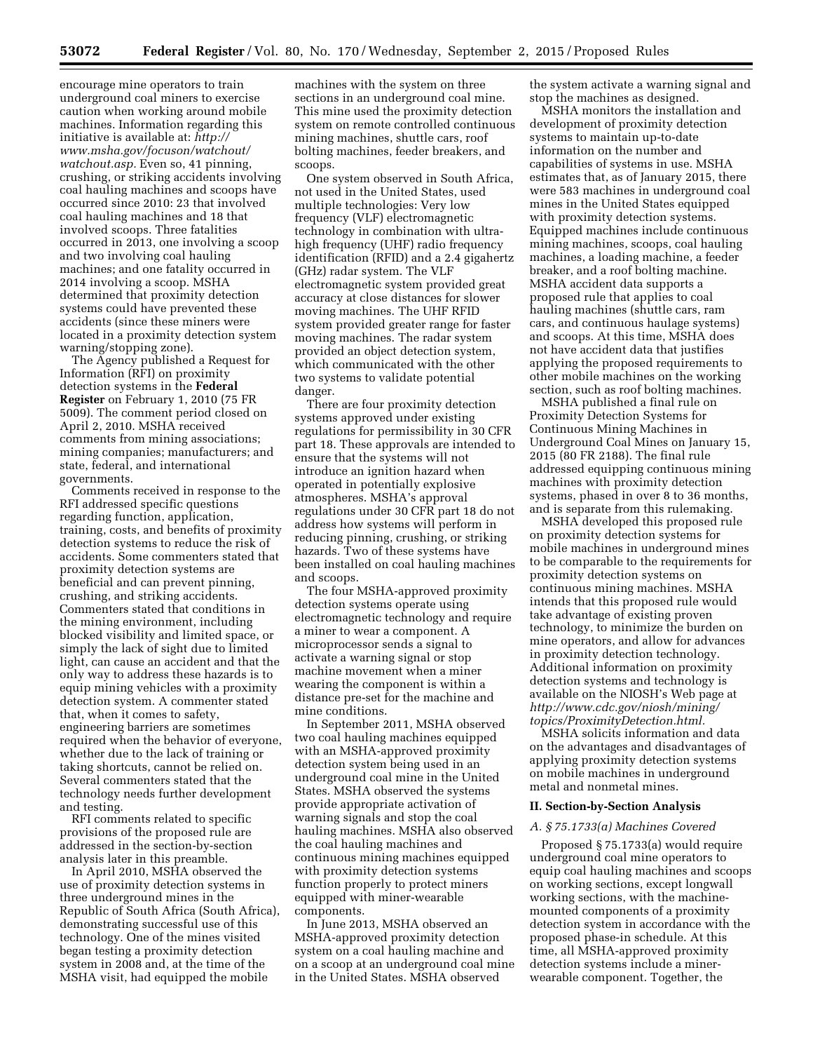encourage mine operators to train underground coal miners to exercise caution when working around mobile machines. Information regarding this initiative is available at: *[http://](http://www.msha.gov/focuson/watchout/watchout.asp)  [www.msha.gov/focuson/watchout/](http://www.msha.gov/focuson/watchout/watchout.asp)  [watchout.asp.](http://www.msha.gov/focuson/watchout/watchout.asp)* Even so, 41 pinning, crushing, or striking accidents involving coal hauling machines and scoops have occurred since 2010: 23 that involved coal hauling machines and 18 that involved scoops. Three fatalities occurred in 2013, one involving a scoop and two involving coal hauling machines; and one fatality occurred in 2014 involving a scoop. MSHA determined that proximity detection systems could have prevented these accidents (since these miners were located in a proximity detection system warning/stopping zone).

The Agency published a Request for Information (RFI) on proximity detection systems in the **Federal Register** on February 1, 2010 (75 FR 5009). The comment period closed on April 2, 2010. MSHA received comments from mining associations; mining companies; manufacturers; and state, federal, and international governments.

Comments received in response to the RFI addressed specific questions regarding function, application, training, costs, and benefits of proximity detection systems to reduce the risk of accidents. Some commenters stated that proximity detection systems are beneficial and can prevent pinning, crushing, and striking accidents. Commenters stated that conditions in the mining environment, including blocked visibility and limited space, or simply the lack of sight due to limited light, can cause an accident and that the only way to address these hazards is to equip mining vehicles with a proximity detection system. A commenter stated that, when it comes to safety, engineering barriers are sometimes required when the behavior of everyone, whether due to the lack of training or taking shortcuts, cannot be relied on. Several commenters stated that the technology needs further development and testing.

RFI comments related to specific provisions of the proposed rule are addressed in the section-by-section analysis later in this preamble.

In April 2010, MSHA observed the use of proximity detection systems in three underground mines in the Republic of South Africa (South Africa), demonstrating successful use of this technology. One of the mines visited began testing a proximity detection system in 2008 and, at the time of the MSHA visit, had equipped the mobile

machines with the system on three sections in an underground coal mine. This mine used the proximity detection system on remote controlled continuous mining machines, shuttle cars, roof bolting machines, feeder breakers, and scoops.

One system observed in South Africa, not used in the United States, used multiple technologies: Very low frequency (VLF) electromagnetic technology in combination with ultrahigh frequency (UHF) radio frequency identification (RFID) and a 2.4 gigahertz (GHz) radar system. The VLF electromagnetic system provided great accuracy at close distances for slower moving machines. The UHF RFID system provided greater range for faster moving machines. The radar system provided an object detection system, which communicated with the other two systems to validate potential danger.

There are four proximity detection systems approved under existing regulations for permissibility in 30 CFR part 18. These approvals are intended to ensure that the systems will not introduce an ignition hazard when operated in potentially explosive atmospheres. MSHA's approval regulations under 30 CFR part 18 do not address how systems will perform in reducing pinning, crushing, or striking hazards. Two of these systems have been installed on coal hauling machines and scoops.

The four MSHA-approved proximity detection systems operate using electromagnetic technology and require a miner to wear a component. A microprocessor sends a signal to activate a warning signal or stop machine movement when a miner wearing the component is within a distance pre-set for the machine and mine conditions.

In September 2011, MSHA observed two coal hauling machines equipped with an MSHA-approved proximity detection system being used in an underground coal mine in the United States. MSHA observed the systems provide appropriate activation of warning signals and stop the coal hauling machines. MSHA also observed the coal hauling machines and continuous mining machines equipped with proximity detection systems function properly to protect miners equipped with miner-wearable components.

In June 2013, MSHA observed an MSHA-approved proximity detection system on a coal hauling machine and on a scoop at an underground coal mine in the United States. MSHA observed

the system activate a warning signal and stop the machines as designed.

MSHA monitors the installation and development of proximity detection systems to maintain up-to-date information on the number and capabilities of systems in use. MSHA estimates that, as of January 2015, there were 583 machines in underground coal mines in the United States equipped with proximity detection systems. Equipped machines include continuous mining machines, scoops, coal hauling machines, a loading machine, a feeder breaker, and a roof bolting machine. MSHA accident data supports a proposed rule that applies to coal hauling machines (shuttle cars, ram cars, and continuous haulage systems) and scoops. At this time, MSHA does not have accident data that justifies applying the proposed requirements to other mobile machines on the working section, such as roof bolting machines.

MSHA published a final rule on Proximity Detection Systems for Continuous Mining Machines in Underground Coal Mines on January 15, 2015 (80 FR 2188). The final rule addressed equipping continuous mining machines with proximity detection systems, phased in over 8 to 36 months, and is separate from this rulemaking.

MSHA developed this proposed rule on proximity detection systems for mobile machines in underground mines to be comparable to the requirements for proximity detection systems on continuous mining machines. MSHA intends that this proposed rule would take advantage of existing proven technology, to minimize the burden on mine operators, and allow for advances in proximity detection technology. Additional information on proximity detection systems and technology is available on the NIOSH's Web page at *[http://www.cdc.gov/niosh/mining/](http://www.cdc.gov/niosh/mining/topics/ProximityDetection.html) [topics/ProximityDetection.html.](http://www.cdc.gov/niosh/mining/topics/ProximityDetection.html)* 

MSHA solicits information and data on the advantages and disadvantages of applying proximity detection systems on mobile machines in underground metal and nonmetal mines.

#### **II. Section-by-Section Analysis**

#### *A. § 75.1733(a) Machines Covered*

Proposed § 75.1733(a) would require underground coal mine operators to equip coal hauling machines and scoops on working sections, except longwall working sections, with the machinemounted components of a proximity detection system in accordance with the proposed phase-in schedule. At this time, all MSHA-approved proximity detection systems include a minerwearable component. Together, the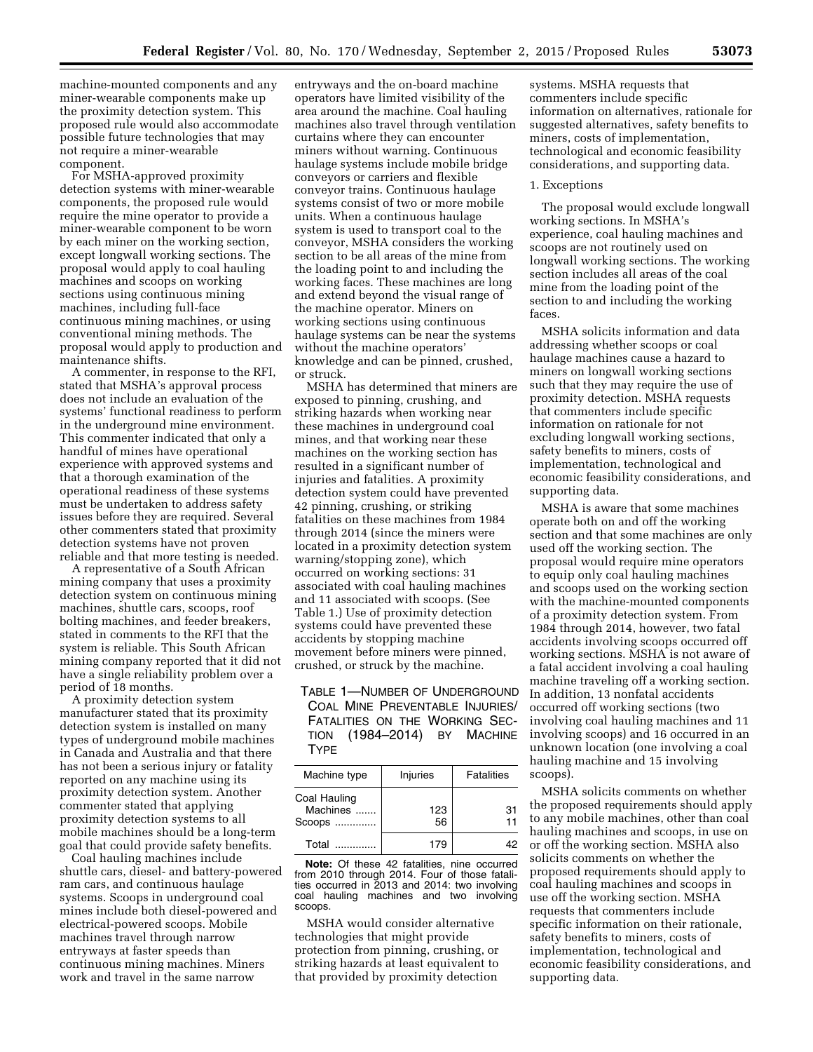machine-mounted components and any miner-wearable components make up the proximity detection system. This proposed rule would also accommodate possible future technologies that may not require a miner-wearable component.

For MSHA-approved proximity detection systems with miner-wearable components, the proposed rule would require the mine operator to provide a miner-wearable component to be worn by each miner on the working section, except longwall working sections. The proposal would apply to coal hauling machines and scoops on working sections using continuous mining machines, including full-face continuous mining machines, or using conventional mining methods. The proposal would apply to production and maintenance shifts.

A commenter, in response to the RFI, stated that MSHA's approval process does not include an evaluation of the systems' functional readiness to perform in the underground mine environment. This commenter indicated that only a handful of mines have operational experience with approved systems and that a thorough examination of the operational readiness of these systems must be undertaken to address safety issues before they are required. Several other commenters stated that proximity detection systems have not proven reliable and that more testing is needed.

A representative of a South African mining company that uses a proximity detection system on continuous mining machines, shuttle cars, scoops, roof bolting machines, and feeder breakers, stated in comments to the RFI that the system is reliable. This South African mining company reported that it did not have a single reliability problem over a period of 18 months.

A proximity detection system manufacturer stated that its proximity detection system is installed on many types of underground mobile machines in Canada and Australia and that there has not been a serious injury or fatality reported on any machine using its proximity detection system. Another commenter stated that applying proximity detection systems to all mobile machines should be a long-term goal that could provide safety benefits.

Coal hauling machines include shuttle cars, diesel- and battery-powered ram cars, and continuous haulage systems. Scoops in underground coal mines include both diesel-powered and electrical-powered scoops. Mobile machines travel through narrow entryways at faster speeds than continuous mining machines. Miners work and travel in the same narrow

entryways and the on-board machine operators have limited visibility of the area around the machine. Coal hauling machines also travel through ventilation curtains where they can encounter miners without warning. Continuous haulage systems include mobile bridge conveyors or carriers and flexible conveyor trains. Continuous haulage systems consist of two or more mobile units. When a continuous haulage system is used to transport coal to the conveyor, MSHA considers the working section to be all areas of the mine from the loading point to and including the working faces. These machines are long and extend beyond the visual range of the machine operator. Miners on working sections using continuous haulage systems can be near the systems without the machine operators' knowledge and can be pinned, crushed, or struck.

MSHA has determined that miners are exposed to pinning, crushing, and striking hazards when working near these machines in underground coal mines, and that working near these machines on the working section has resulted in a significant number of injuries and fatalities. A proximity detection system could have prevented 42 pinning, crushing, or striking fatalities on these machines from 1984 through 2014 (since the miners were located in a proximity detection system warning/stopping zone), which occurred on working sections: 31 associated with coal hauling machines and 11 associated with scoops. (See Table 1.) Use of proximity detection systems could have prevented these accidents by stopping machine movement before miners were pinned, crushed, or struck by the machine.

TABLE 1—NUMBER OF UNDERGROUND COAL MINE PREVENTABLE INJURIES/ FATALITIES ON THE WORKING SEC-TION (1984–2014) BY MACHINE **TYPE** 

| Machine type                       | Injuries  | <b>Fatalities</b> |
|------------------------------------|-----------|-------------------|
| Coal Hauling<br>Machines<br>Scoops | 123<br>56 | 31<br>11          |
| Total                              | 179       |                   |

**Note:** Of these 42 fatalities, nine occurred from 2010 through 2014. Four of those fatalities occurred in 2013 and 2014: two involving coal hauling machines and two involving scoops.

MSHA would consider alternative technologies that might provide protection from pinning, crushing, or striking hazards at least equivalent to that provided by proximity detection

systems. MSHA requests that commenters include specific information on alternatives, rationale for suggested alternatives, safety benefits to miners, costs of implementation, technological and economic feasibility considerations, and supporting data.

#### 1. Exceptions

The proposal would exclude longwall working sections. In MSHA's experience, coal hauling machines and scoops are not routinely used on longwall working sections. The working section includes all areas of the coal mine from the loading point of the section to and including the working faces.

MSHA solicits information and data addressing whether scoops or coal haulage machines cause a hazard to miners on longwall working sections such that they may require the use of proximity detection. MSHA requests that commenters include specific information on rationale for not excluding longwall working sections, safety benefits to miners, costs of implementation, technological and economic feasibility considerations, and supporting data.

MSHA is aware that some machines operate both on and off the working section and that some machines are only used off the working section. The proposal would require mine operators to equip only coal hauling machines and scoops used on the working section with the machine-mounted components of a proximity detection system. From 1984 through 2014, however, two fatal accidents involving scoops occurred off working sections. MSHA is not aware of a fatal accident involving a coal hauling machine traveling off a working section. In addition, 13 nonfatal accidents occurred off working sections (two involving coal hauling machines and 11 involving scoops) and 16 occurred in an unknown location (one involving a coal hauling machine and 15 involving scoops).

MSHA solicits comments on whether the proposed requirements should apply to any mobile machines, other than coal hauling machines and scoops, in use on or off the working section. MSHA also solicits comments on whether the proposed requirements should apply to coal hauling machines and scoops in use off the working section. MSHA requests that commenters include specific information on their rationale, safety benefits to miners, costs of implementation, technological and economic feasibility considerations, and supporting data.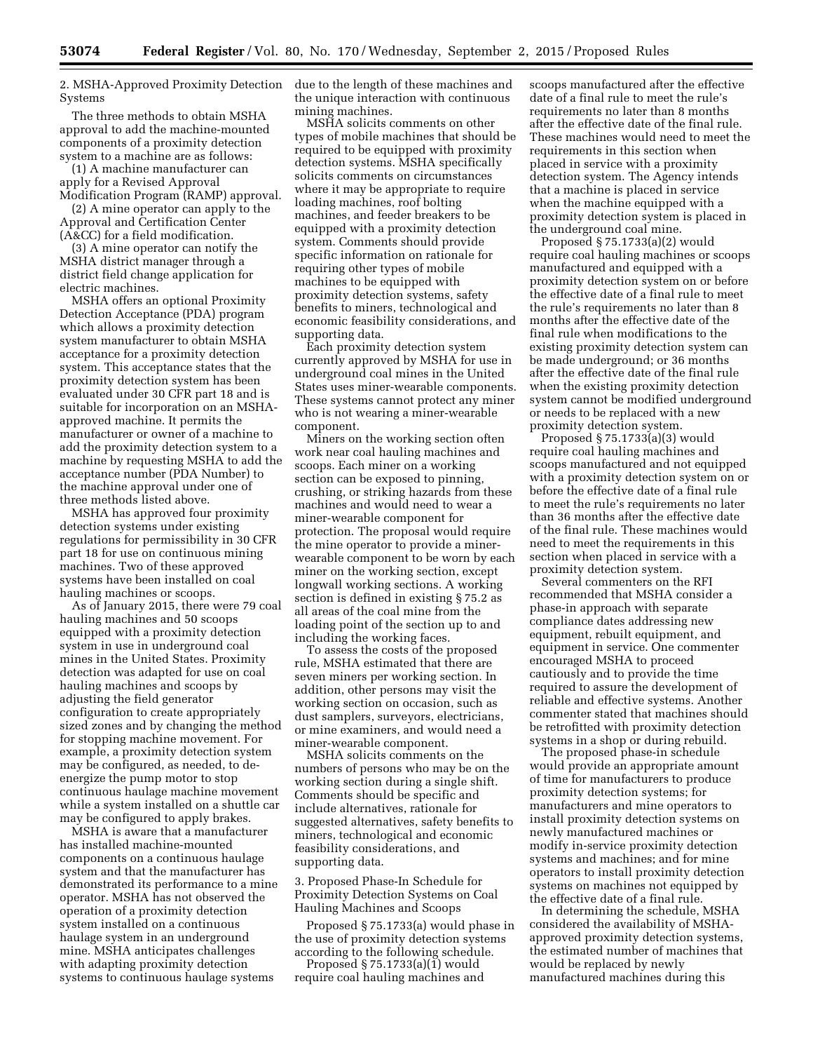2. MSHA-Approved Proximity Detection Systems

The three methods to obtain MSHA approval to add the machine-mounted components of a proximity detection system to a machine are as follows:

(1) A machine manufacturer can apply for a Revised Approval Modification Program (RAMP) approval.

(2) A mine operator can apply to the Approval and Certification Center (A&CC) for a field modification.

(3) A mine operator can notify the MSHA district manager through a district field change application for electric machines.

MSHA offers an optional Proximity Detection Acceptance (PDA) program which allows a proximity detection system manufacturer to obtain MSHA acceptance for a proximity detection system. This acceptance states that the proximity detection system has been evaluated under 30 CFR part 18 and is suitable for incorporation on an MSHAapproved machine. It permits the manufacturer or owner of a machine to add the proximity detection system to a machine by requesting MSHA to add the acceptance number (PDA Number) to the machine approval under one of three methods listed above.

MSHA has approved four proximity detection systems under existing regulations for permissibility in 30 CFR part 18 for use on continuous mining machines. Two of these approved systems have been installed on coal hauling machines or scoops.

As of January 2015, there were 79 coal hauling machines and 50 scoops equipped with a proximity detection system in use in underground coal mines in the United States. Proximity detection was adapted for use on coal hauling machines and scoops by adjusting the field generator configuration to create appropriately sized zones and by changing the method for stopping machine movement. For example, a proximity detection system may be configured, as needed, to deenergize the pump motor to stop continuous haulage machine movement while a system installed on a shuttle car may be configured to apply brakes.

MSHA is aware that a manufacturer has installed machine-mounted components on a continuous haulage system and that the manufacturer has demonstrated its performance to a mine operator. MSHA has not observed the operation of a proximity detection system installed on a continuous haulage system in an underground mine. MSHA anticipates challenges with adapting proximity detection systems to continuous haulage systems

due to the length of these machines and the unique interaction with continuous mining machines.

MSHA solicits comments on other types of mobile machines that should be required to be equipped with proximity detection systems. MSHA specifically solicits comments on circumstances where it may be appropriate to require loading machines, roof bolting machines, and feeder breakers to be equipped with a proximity detection system. Comments should provide specific information on rationale for requiring other types of mobile machines to be equipped with proximity detection systems, safety benefits to miners, technological and economic feasibility considerations, and supporting data.

Each proximity detection system currently approved by MSHA for use in underground coal mines in the United States uses miner-wearable components. These systems cannot protect any miner who is not wearing a miner-wearable component.

Miners on the working section often work near coal hauling machines and scoops. Each miner on a working section can be exposed to pinning, crushing, or striking hazards from these machines and would need to wear a miner-wearable component for protection. The proposal would require the mine operator to provide a minerwearable component to be worn by each miner on the working section, except longwall working sections. A working section is defined in existing § 75.2 as all areas of the coal mine from the loading point of the section up to and including the working faces.

To assess the costs of the proposed rule, MSHA estimated that there are seven miners per working section. In addition, other persons may visit the working section on occasion, such as dust samplers, surveyors, electricians, or mine examiners, and would need a miner-wearable component.

MSHA solicits comments on the numbers of persons who may be on the working section during a single shift. Comments should be specific and include alternatives, rationale for suggested alternatives, safety benefits to miners, technological and economic feasibility considerations, and supporting data.

3. Proposed Phase-In Schedule for Proximity Detection Systems on Coal Hauling Machines and Scoops

Proposed § 75.1733(a) would phase in the use of proximity detection systems according to the following schedule.

Proposed  $\S 75.1733(a)(1)$  would require coal hauling machines and scoops manufactured after the effective date of a final rule to meet the rule's requirements no later than 8 months after the effective date of the final rule. These machines would need to meet the requirements in this section when placed in service with a proximity detection system. The Agency intends that a machine is placed in service when the machine equipped with a proximity detection system is placed in the underground coal mine.

Proposed § 75.1733(a)(2) would require coal hauling machines or scoops manufactured and equipped with a proximity detection system on or before the effective date of a final rule to meet the rule's requirements no later than 8 months after the effective date of the final rule when modifications to the existing proximity detection system can be made underground; or 36 months after the effective date of the final rule when the existing proximity detection system cannot be modified underground or needs to be replaced with a new proximity detection system.

Proposed § 75.1733(a)(3) would require coal hauling machines and scoops manufactured and not equipped with a proximity detection system on or before the effective date of a final rule to meet the rule's requirements no later than 36 months after the effective date of the final rule. These machines would need to meet the requirements in this section when placed in service with a proximity detection system.

Several commenters on the RFI recommended that MSHA consider a phase-in approach with separate compliance dates addressing new equipment, rebuilt equipment, and equipment in service. One commenter encouraged MSHA to proceed cautiously and to provide the time required to assure the development of reliable and effective systems. Another commenter stated that machines should be retrofitted with proximity detection systems in a shop or during rebuild.

The proposed phase-in schedule would provide an appropriate amount of time for manufacturers to produce proximity detection systems; for manufacturers and mine operators to install proximity detection systems on newly manufactured machines or modify in-service proximity detection systems and machines; and for mine operators to install proximity detection systems on machines not equipped by the effective date of a final rule.

In determining the schedule, MSHA considered the availability of MSHAapproved proximity detection systems, the estimated number of machines that would be replaced by newly manufactured machines during this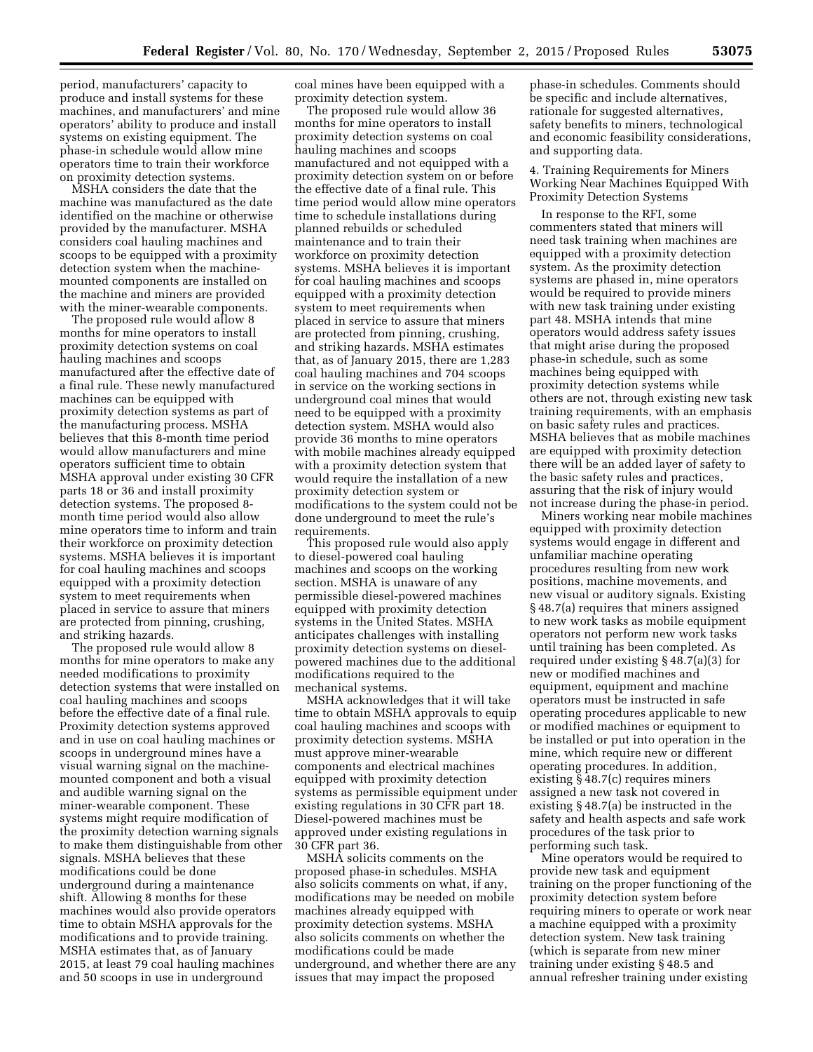period, manufacturers' capacity to produce and install systems for these machines, and manufacturers' and mine operators' ability to produce and install systems on existing equipment. The phase-in schedule would allow mine operators time to train their workforce on proximity detection systems.

MSHA considers the date that the machine was manufactured as the date identified on the machine or otherwise provided by the manufacturer. MSHA considers coal hauling machines and scoops to be equipped with a proximity detection system when the machinemounted components are installed on the machine and miners are provided with the miner-wearable components.

The proposed rule would allow 8 months for mine operators to install proximity detection systems on coal hauling machines and scoops manufactured after the effective date of a final rule. These newly manufactured machines can be equipped with proximity detection systems as part of the manufacturing process. MSHA believes that this 8-month time period would allow manufacturers and mine operators sufficient time to obtain MSHA approval under existing 30 CFR parts 18 or 36 and install proximity detection systems. The proposed 8 month time period would also allow mine operators time to inform and train their workforce on proximity detection systems. MSHA believes it is important for coal hauling machines and scoops equipped with a proximity detection system to meet requirements when placed in service to assure that miners are protected from pinning, crushing, and striking hazards.

The proposed rule would allow 8 months for mine operators to make any needed modifications to proximity detection systems that were installed on coal hauling machines and scoops before the effective date of a final rule. Proximity detection systems approved and in use on coal hauling machines or scoops in underground mines have a visual warning signal on the machinemounted component and both a visual and audible warning signal on the miner-wearable component. These systems might require modification of the proximity detection warning signals to make them distinguishable from other signals. MSHA believes that these modifications could be done underground during a maintenance shift. Allowing 8 months for these machines would also provide operators time to obtain MSHA approvals for the modifications and to provide training. MSHA estimates that, as of January 2015, at least 79 coal hauling machines and 50 scoops in use in underground

coal mines have been equipped with a proximity detection system.

The proposed rule would allow 36 months for mine operators to install proximity detection systems on coal hauling machines and scoops manufactured and not equipped with a proximity detection system on or before the effective date of a final rule. This time period would allow mine operators time to schedule installations during planned rebuilds or scheduled maintenance and to train their workforce on proximity detection systems. MSHA believes it is important for coal hauling machines and scoops equipped with a proximity detection system to meet requirements when placed in service to assure that miners are protected from pinning, crushing, and striking hazards. MSHA estimates that, as of January 2015, there are 1,283 coal hauling machines and 704 scoops in service on the working sections in underground coal mines that would need to be equipped with a proximity detection system. MSHA would also provide 36 months to mine operators with mobile machines already equipped with a proximity detection system that would require the installation of a new proximity detection system or modifications to the system could not be done underground to meet the rule's requirements.

This proposed rule would also apply to diesel-powered coal hauling machines and scoops on the working section. MSHA is unaware of any permissible diesel-powered machines equipped with proximity detection systems in the United States. MSHA anticipates challenges with installing proximity detection systems on dieselpowered machines due to the additional modifications required to the mechanical systems.

MSHA acknowledges that it will take time to obtain MSHA approvals to equip coal hauling machines and scoops with proximity detection systems. MSHA must approve miner-wearable components and electrical machines equipped with proximity detection systems as permissible equipment under existing regulations in 30 CFR part 18. Diesel-powered machines must be approved under existing regulations in 30 CFR part 36.

MSHA solicits comments on the proposed phase-in schedules. MSHA also solicits comments on what, if any, modifications may be needed on mobile machines already equipped with proximity detection systems. MSHA also solicits comments on whether the modifications could be made underground, and whether there are any issues that may impact the proposed

phase-in schedules. Comments should be specific and include alternatives, rationale for suggested alternatives, safety benefits to miners, technological and economic feasibility considerations, and supporting data.

4. Training Requirements for Miners Working Near Machines Equipped With Proximity Detection Systems

In response to the RFI, some commenters stated that miners will need task training when machines are equipped with a proximity detection system. As the proximity detection systems are phased in, mine operators would be required to provide miners with new task training under existing part 48. MSHA intends that mine operators would address safety issues that might arise during the proposed phase-in schedule, such as some machines being equipped with proximity detection systems while others are not, through existing new task training requirements, with an emphasis on basic safety rules and practices. MSHA believes that as mobile machines are equipped with proximity detection there will be an added layer of safety to the basic safety rules and practices, assuring that the risk of injury would not increase during the phase-in period.

Miners working near mobile machines equipped with proximity detection systems would engage in different and unfamiliar machine operating procedures resulting from new work positions, machine movements, and new visual or auditory signals. Existing § 48.7(a) requires that miners assigned to new work tasks as mobile equipment operators not perform new work tasks until training has been completed. As required under existing § 48.7(a)(3) for new or modified machines and equipment, equipment and machine operators must be instructed in safe operating procedures applicable to new or modified machines or equipment to be installed or put into operation in the mine, which require new or different operating procedures. In addition, existing § 48.7(c) requires miners assigned a new task not covered in existing § 48.7(a) be instructed in the safety and health aspects and safe work procedures of the task prior to performing such task.

Mine operators would be required to provide new task and equipment training on the proper functioning of the proximity detection system before requiring miners to operate or work near a machine equipped with a proximity detection system. New task training (which is separate from new miner training under existing § 48.5 and annual refresher training under existing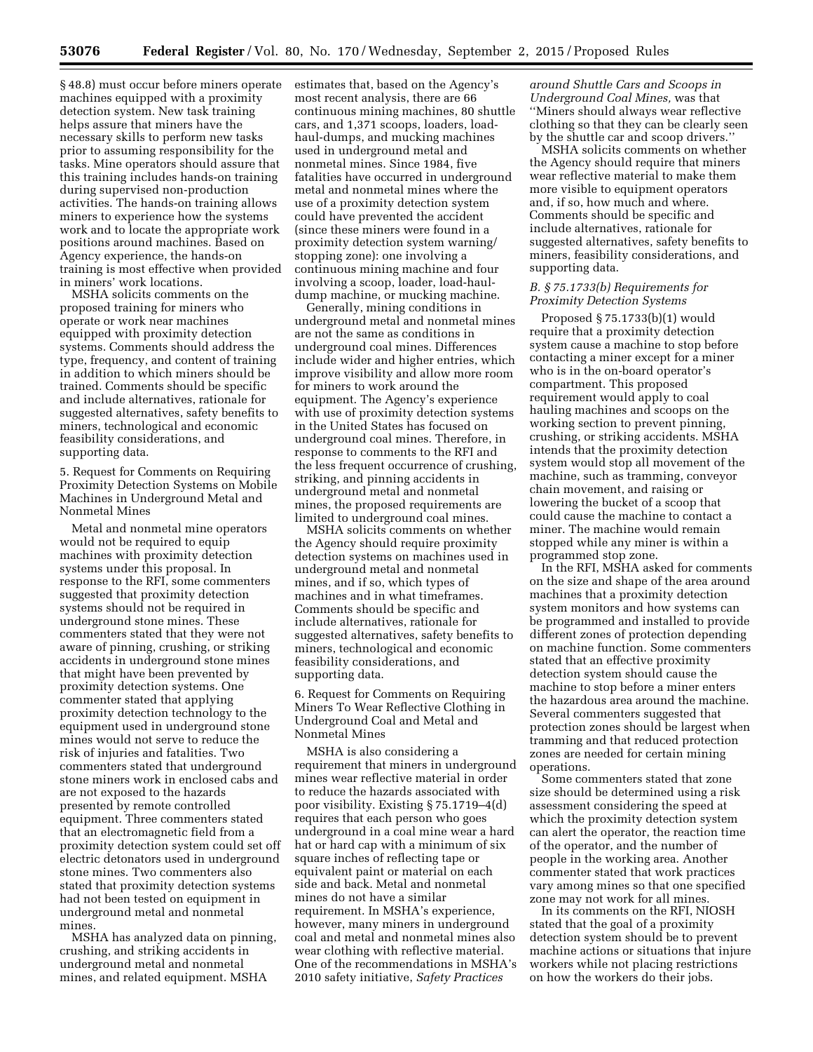§ 48.8) must occur before miners operate machines equipped with a proximity detection system. New task training helps assure that miners have the necessary skills to perform new tasks prior to assuming responsibility for the tasks. Mine operators should assure that this training includes hands-on training during supervised non-production activities. The hands-on training allows miners to experience how the systems work and to locate the appropriate work positions around machines. Based on Agency experience, the hands-on training is most effective when provided in miners' work locations.

MSHA solicits comments on the proposed training for miners who operate or work near machines equipped with proximity detection systems. Comments should address the type, frequency, and content of training in addition to which miners should be trained. Comments should be specific and include alternatives, rationale for suggested alternatives, safety benefits to miners, technological and economic feasibility considerations, and supporting data.

5. Request for Comments on Requiring Proximity Detection Systems on Mobile Machines in Underground Metal and Nonmetal Mines

Metal and nonmetal mine operators would not be required to equip machines with proximity detection systems under this proposal. In response to the RFI, some commenters suggested that proximity detection systems should not be required in underground stone mines. These commenters stated that they were not aware of pinning, crushing, or striking accidents in underground stone mines that might have been prevented by proximity detection systems. One commenter stated that applying proximity detection technology to the equipment used in underground stone mines would not serve to reduce the risk of injuries and fatalities. Two commenters stated that underground stone miners work in enclosed cabs and are not exposed to the hazards presented by remote controlled equipment. Three commenters stated that an electromagnetic field from a proximity detection system could set off electric detonators used in underground stone mines. Two commenters also stated that proximity detection systems had not been tested on equipment in underground metal and nonmetal mines.

MSHA has analyzed data on pinning, crushing, and striking accidents in underground metal and nonmetal mines, and related equipment. MSHA

estimates that, based on the Agency's most recent analysis, there are 66 continuous mining machines, 80 shuttle cars, and 1,371 scoops, loaders, loadhaul-dumps, and mucking machines used in underground metal and nonmetal mines. Since 1984, five fatalities have occurred in underground metal and nonmetal mines where the use of a proximity detection system could have prevented the accident (since these miners were found in a proximity detection system warning/ stopping zone): one involving a continuous mining machine and four involving a scoop, loader, load-hauldump machine, or mucking machine.

Generally, mining conditions in underground metal and nonmetal mines are not the same as conditions in underground coal mines. Differences include wider and higher entries, which improve visibility and allow more room for miners to work around the equipment. The Agency's experience with use of proximity detection systems in the United States has focused on underground coal mines. Therefore, in response to comments to the RFI and the less frequent occurrence of crushing, striking, and pinning accidents in underground metal and nonmetal mines, the proposed requirements are limited to underground coal mines.

MSHA solicits comments on whether the Agency should require proximity detection systems on machines used in underground metal and nonmetal mines, and if so, which types of machines and in what timeframes. Comments should be specific and include alternatives, rationale for suggested alternatives, safety benefits to miners, technological and economic feasibility considerations, and supporting data.

6. Request for Comments on Requiring Miners To Wear Reflective Clothing in Underground Coal and Metal and Nonmetal Mines

MSHA is also considering a requirement that miners in underground mines wear reflective material in order to reduce the hazards associated with poor visibility. Existing § 75.1719–4(d) requires that each person who goes underground in a coal mine wear a hard hat or hard cap with a minimum of six square inches of reflecting tape or equivalent paint or material on each side and back. Metal and nonmetal mines do not have a similar requirement. In MSHA's experience, however, many miners in underground coal and metal and nonmetal mines also wear clothing with reflective material. One of the recommendations in MSHA's 2010 safety initiative, *Safety Practices* 

*around Shuttle Cars and Scoops in Underground Coal Mines,* was that ''Miners should always wear reflective clothing so that they can be clearly seen by the shuttle car and scoop drivers.''

MSHA solicits comments on whether the Agency should require that miners wear reflective material to make them more visible to equipment operators and, if so, how much and where. Comments should be specific and include alternatives, rationale for suggested alternatives, safety benefits to miners, feasibility considerations, and supporting data.

## *B. § 75.1733(b) Requirements for Proximity Detection Systems*

Proposed § 75.1733(b)(1) would require that a proximity detection system cause a machine to stop before contacting a miner except for a miner who is in the on-board operator's compartment. This proposed requirement would apply to coal hauling machines and scoops on the working section to prevent pinning, crushing, or striking accidents. MSHA intends that the proximity detection system would stop all movement of the machine, such as tramming, conveyor chain movement, and raising or lowering the bucket of a scoop that could cause the machine to contact a miner. The machine would remain stopped while any miner is within a programmed stop zone.

In the RFI, MSHA asked for comments on the size and shape of the area around machines that a proximity detection system monitors and how systems can be programmed and installed to provide different zones of protection depending on machine function. Some commenters stated that an effective proximity detection system should cause the machine to stop before a miner enters the hazardous area around the machine. Several commenters suggested that protection zones should be largest when tramming and that reduced protection zones are needed for certain mining operations.

Some commenters stated that zone size should be determined using a risk assessment considering the speed at which the proximity detection system can alert the operator, the reaction time of the operator, and the number of people in the working area. Another commenter stated that work practices vary among mines so that one specified zone may not work for all mines.

In its comments on the RFI, NIOSH stated that the goal of a proximity detection system should be to prevent machine actions or situations that injure workers while not placing restrictions on how the workers do their jobs.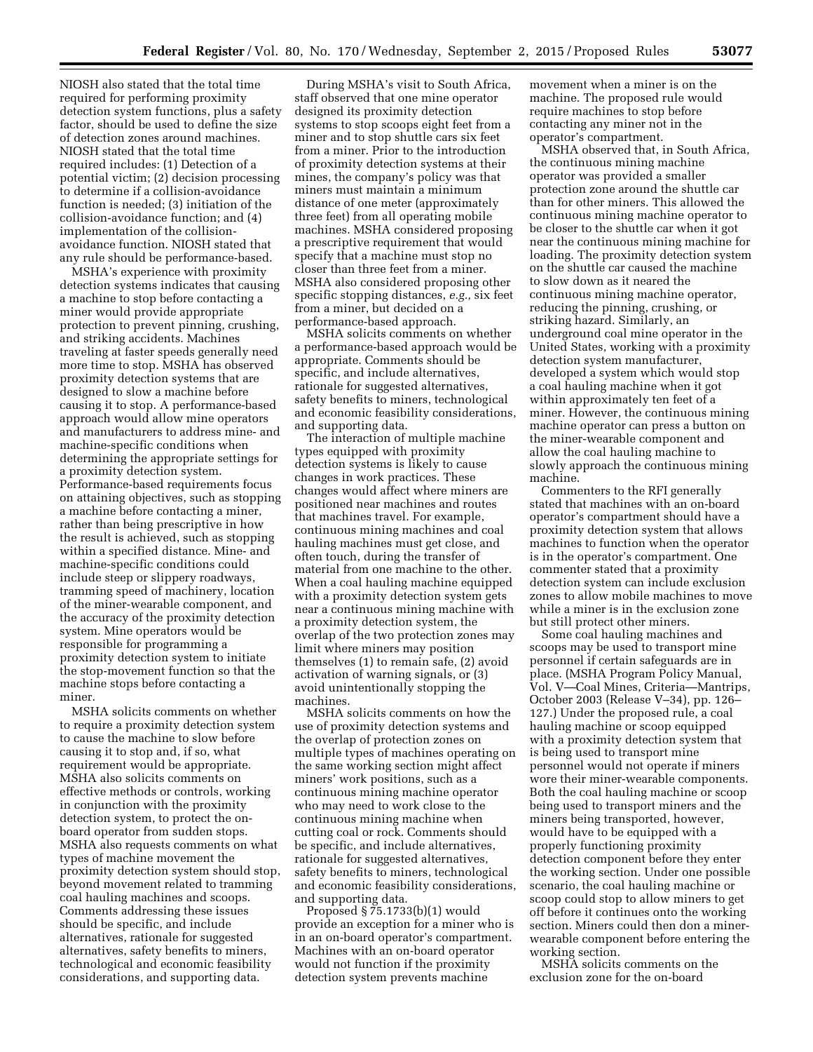NIOSH also stated that the total time required for performing proximity detection system functions, plus a safety factor, should be used to define the size of detection zones around machines. NIOSH stated that the total time required includes: (1) Detection of a potential victim; (2) decision processing to determine if a collision-avoidance function is needed; (3) initiation of the collision-avoidance function; and (4) implementation of the collisionavoidance function. NIOSH stated that any rule should be performance-based.

MSHA's experience with proximity detection systems indicates that causing a machine to stop before contacting a miner would provide appropriate protection to prevent pinning, crushing, and striking accidents. Machines traveling at faster speeds generally need more time to stop. MSHA has observed proximity detection systems that are designed to slow a machine before causing it to stop. A performance-based approach would allow mine operators and manufacturers to address mine- and machine-specific conditions when determining the appropriate settings for a proximity detection system. Performance-based requirements focus on attaining objectives, such as stopping a machine before contacting a miner, rather than being prescriptive in how the result is achieved, such as stopping within a specified distance. Mine- and machine-specific conditions could include steep or slippery roadways, tramming speed of machinery, location of the miner-wearable component, and the accuracy of the proximity detection system. Mine operators would be responsible for programming a proximity detection system to initiate the stop-movement function so that the machine stops before contacting a miner.

MSHA solicits comments on whether to require a proximity detection system to cause the machine to slow before causing it to stop and, if so, what requirement would be appropriate. MSHA also solicits comments on effective methods or controls, working in conjunction with the proximity detection system, to protect the onboard operator from sudden stops. MSHA also requests comments on what types of machine movement the proximity detection system should stop, beyond movement related to tramming coal hauling machines and scoops. Comments addressing these issues should be specific, and include alternatives, rationale for suggested alternatives, safety benefits to miners, technological and economic feasibility considerations, and supporting data.

During MSHA's visit to South Africa, staff observed that one mine operator designed its proximity detection systems to stop scoops eight feet from a miner and to stop shuttle cars six feet from a miner. Prior to the introduction of proximity detection systems at their mines, the company's policy was that miners must maintain a minimum distance of one meter (approximately three feet) from all operating mobile machines. MSHA considered proposing a prescriptive requirement that would specify that a machine must stop no closer than three feet from a miner. MSHA also considered proposing other specific stopping distances, *e.g.,* six feet from a miner, but decided on a performance-based approach.

MSHA solicits comments on whether a performance-based approach would be appropriate. Comments should be specific, and include alternatives, rationale for suggested alternatives, safety benefits to miners, technological and economic feasibility considerations, and supporting data.

The interaction of multiple machine types equipped with proximity detection systems is likely to cause changes in work practices. These changes would affect where miners are positioned near machines and routes that machines travel. For example, continuous mining machines and coal hauling machines must get close, and often touch, during the transfer of material from one machine to the other. When a coal hauling machine equipped with a proximity detection system gets near a continuous mining machine with a proximity detection system, the overlap of the two protection zones may limit where miners may position themselves (1) to remain safe, (2) avoid activation of warning signals, or (3) avoid unintentionally stopping the machines.

MSHA solicits comments on how the use of proximity detection systems and the overlap of protection zones on multiple types of machines operating on the same working section might affect miners' work positions, such as a continuous mining machine operator who may need to work close to the continuous mining machine when cutting coal or rock. Comments should be specific, and include alternatives, rationale for suggested alternatives, safety benefits to miners, technological and economic feasibility considerations, and supporting data.

Proposed  $\S 75.1733(b)(1)$  would provide an exception for a miner who is in an on-board operator's compartment. Machines with an on-board operator would not function if the proximity detection system prevents machine

movement when a miner is on the machine. The proposed rule would require machines to stop before contacting any miner not in the operator's compartment.

MSHA observed that, in South Africa, the continuous mining machine operator was provided a smaller protection zone around the shuttle car than for other miners. This allowed the continuous mining machine operator to be closer to the shuttle car when it got near the continuous mining machine for loading. The proximity detection system on the shuttle car caused the machine to slow down as it neared the continuous mining machine operator, reducing the pinning, crushing, or striking hazard. Similarly, an underground coal mine operator in the United States, working with a proximity detection system manufacturer, developed a system which would stop a coal hauling machine when it got within approximately ten feet of a miner. However, the continuous mining machine operator can press a button on the miner-wearable component and allow the coal hauling machine to slowly approach the continuous mining machine.

Commenters to the RFI generally stated that machines with an on-board operator's compartment should have a proximity detection system that allows machines to function when the operator is in the operator's compartment. One commenter stated that a proximity detection system can include exclusion zones to allow mobile machines to move while a miner is in the exclusion zone but still protect other miners.

Some coal hauling machines and scoops may be used to transport mine personnel if certain safeguards are in place. (MSHA Program Policy Manual, Vol. V—Coal Mines, Criteria—Mantrips, October 2003 (Release V–34), pp. 126– 127.) Under the proposed rule, a coal hauling machine or scoop equipped with a proximity detection system that is being used to transport mine personnel would not operate if miners wore their miner-wearable components. Both the coal hauling machine or scoop being used to transport miners and the miners being transported, however, would have to be equipped with a properly functioning proximity detection component before they enter the working section. Under one possible scenario, the coal hauling machine or scoop could stop to allow miners to get off before it continues onto the working section. Miners could then don a minerwearable component before entering the working section.

MSHA solicits comments on the exclusion zone for the on-board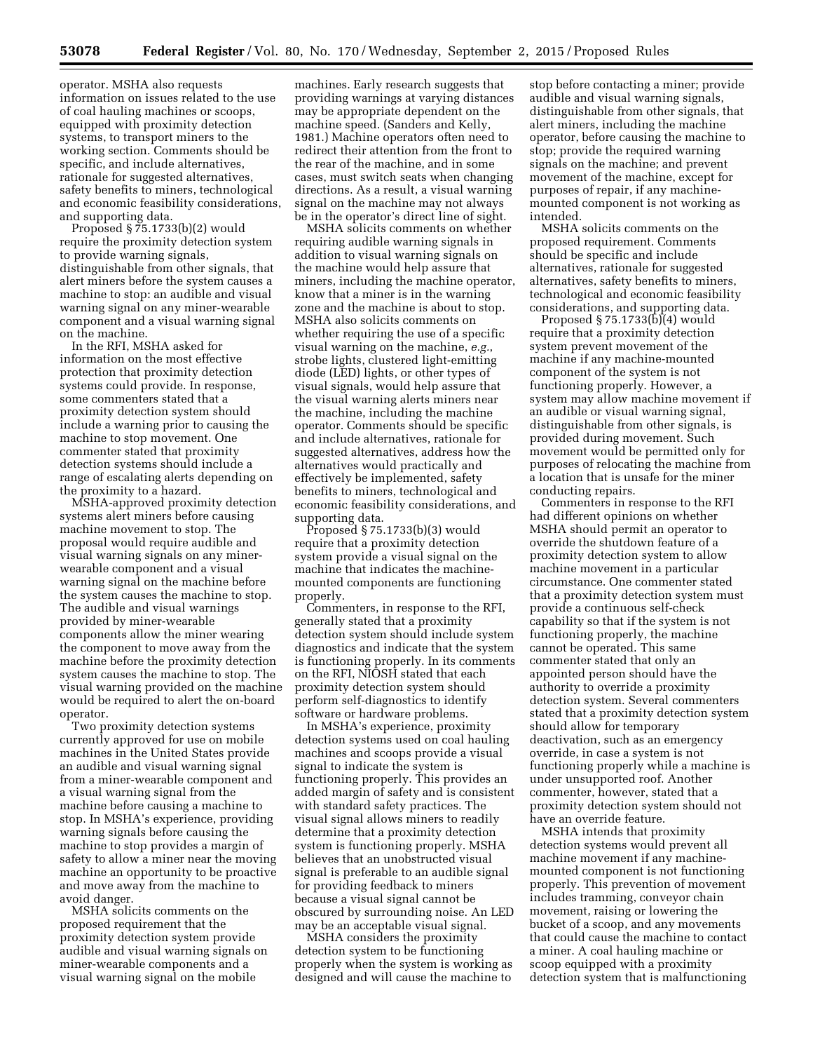operator. MSHA also requests information on issues related to the use of coal hauling machines or scoops, equipped with proximity detection systems, to transport miners to the working section. Comments should be specific, and include alternatives, rationale for suggested alternatives, safety benefits to miners, technological and economic feasibility considerations, and supporting data.

Proposed § 75.1733(b)(2) would require the proximity detection system to provide warning signals, distinguishable from other signals, that alert miners before the system causes a machine to stop: an audible and visual warning signal on any miner-wearable component and a visual warning signal on the machine.

In the RFI, MSHA asked for information on the most effective protection that proximity detection systems could provide. In response, some commenters stated that a proximity detection system should include a warning prior to causing the machine to stop movement. One commenter stated that proximity detection systems should include a range of escalating alerts depending on the proximity to a hazard.

MSHA-approved proximity detection systems alert miners before causing machine movement to stop. The proposal would require audible and visual warning signals on any minerwearable component and a visual warning signal on the machine before the system causes the machine to stop. The audible and visual warnings provided by miner-wearable components allow the miner wearing the component to move away from the machine before the proximity detection system causes the machine to stop. The visual warning provided on the machine would be required to alert the on-board operator.

Two proximity detection systems currently approved for use on mobile machines in the United States provide an audible and visual warning signal from a miner-wearable component and a visual warning signal from the machine before causing a machine to stop. In MSHA's experience, providing warning signals before causing the machine to stop provides a margin of safety to allow a miner near the moving machine an opportunity to be proactive and move away from the machine to avoid danger.

MSHA solicits comments on the proposed requirement that the proximity detection system provide audible and visual warning signals on miner-wearable components and a visual warning signal on the mobile

machines. Early research suggests that providing warnings at varying distances may be appropriate dependent on the machine speed. (Sanders and Kelly, 1981.) Machine operators often need to redirect their attention from the front to the rear of the machine, and in some cases, must switch seats when changing directions. As a result, a visual warning signal on the machine may not always be in the operator's direct line of sight.

MSHA solicits comments on whether requiring audible warning signals in addition to visual warning signals on the machine would help assure that miners, including the machine operator, know that a miner is in the warning zone and the machine is about to stop. MSHA also solicits comments on whether requiring the use of a specific visual warning on the machine, *e.g.*, strobe lights, clustered light-emitting diode (LED) lights, or other types of visual signals, would help assure that the visual warning alerts miners near the machine, including the machine operator. Comments should be specific and include alternatives, rationale for suggested alternatives, address how the alternatives would practically and effectively be implemented, safety benefits to miners, technological and economic feasibility considerations, and supporting data.

Proposed § 75.1733(b)(3) would require that a proximity detection system provide a visual signal on the machine that indicates the machinemounted components are functioning properly.

Commenters, in response to the RFI, generally stated that a proximity detection system should include system diagnostics and indicate that the system is functioning properly. In its comments on the RFI, NIOSH stated that each proximity detection system should perform self-diagnostics to identify software or hardware problems.

In MSHA's experience, proximity detection systems used on coal hauling machines and scoops provide a visual signal to indicate the system is functioning properly. This provides an added margin of safety and is consistent with standard safety practices. The visual signal allows miners to readily determine that a proximity detection system is functioning properly. MSHA believes that an unobstructed visual signal is preferable to an audible signal for providing feedback to miners because a visual signal cannot be obscured by surrounding noise. An LED may be an acceptable visual signal.

MSHA considers the proximity detection system to be functioning properly when the system is working as designed and will cause the machine to

stop before contacting a miner; provide audible and visual warning signals, distinguishable from other signals, that alert miners, including the machine operator, before causing the machine to stop; provide the required warning signals on the machine; and prevent movement of the machine, except for purposes of repair, if any machinemounted component is not working as intended.

MSHA solicits comments on the proposed requirement. Comments should be specific and include alternatives, rationale for suggested alternatives, safety benefits to miners, technological and economic feasibility considerations, and supporting data.

Proposed  $\S 75.1733(b)(4)$  would require that a proximity detection system prevent movement of the machine if any machine-mounted component of the system is not functioning properly. However, a system may allow machine movement if an audible or visual warning signal, distinguishable from other signals, is provided during movement. Such movement would be permitted only for purposes of relocating the machine from a location that is unsafe for the miner conducting repairs.

Commenters in response to the RFI had different opinions on whether MSHA should permit an operator to override the shutdown feature of a proximity detection system to allow machine movement in a particular circumstance. One commenter stated that a proximity detection system must provide a continuous self-check capability so that if the system is not functioning properly, the machine cannot be operated. This same commenter stated that only an appointed person should have the authority to override a proximity detection system. Several commenters stated that a proximity detection system should allow for temporary deactivation, such as an emergency override, in case a system is not functioning properly while a machine is under unsupported roof. Another commenter, however, stated that a proximity detection system should not have an override feature.

MSHA intends that proximity detection systems would prevent all machine movement if any machinemounted component is not functioning properly. This prevention of movement includes tramming, conveyor chain movement, raising or lowering the bucket of a scoop, and any movements that could cause the machine to contact a miner. A coal hauling machine or scoop equipped with a proximity detection system that is malfunctioning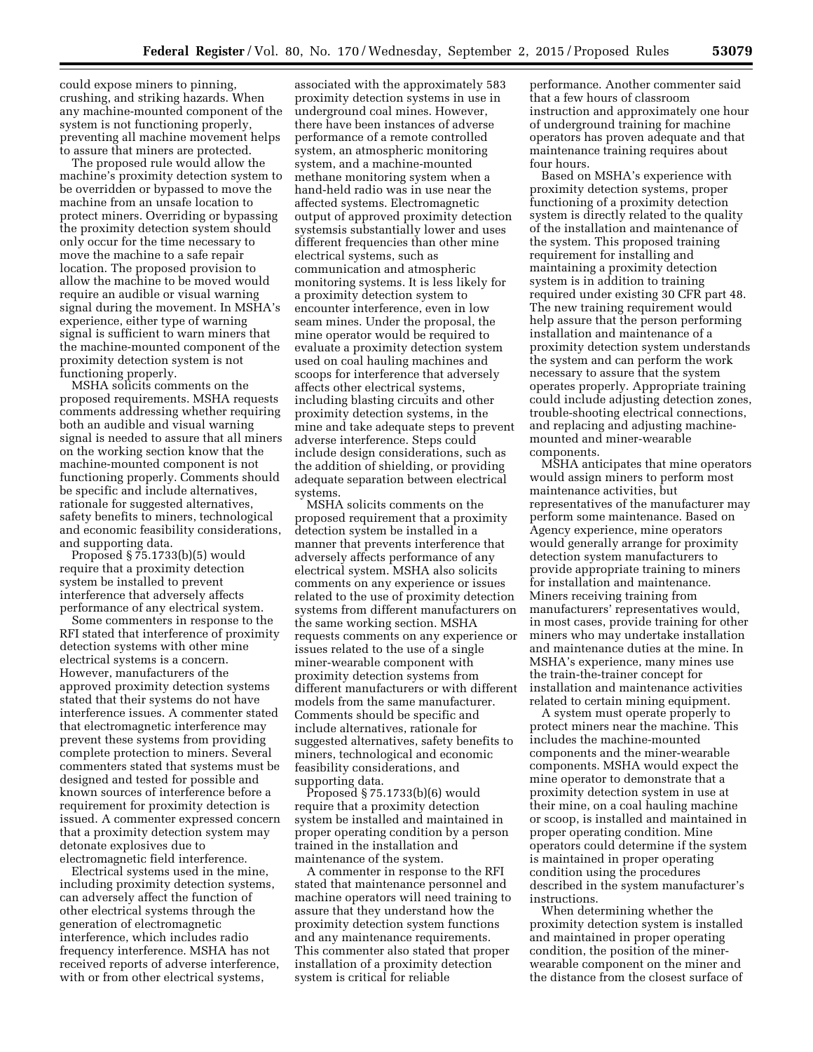could expose miners to pinning, crushing, and striking hazards. When any machine-mounted component of the system is not functioning properly, preventing all machine movement helps to assure that miners are protected.

The proposed rule would allow the machine's proximity detection system to be overridden or bypassed to move the machine from an unsafe location to protect miners. Overriding or bypassing the proximity detection system should only occur for the time necessary to move the machine to a safe repair location. The proposed provision to allow the machine to be moved would require an audible or visual warning signal during the movement. In MSHA's experience, either type of warning signal is sufficient to warn miners that the machine-mounted component of the proximity detection system is not functioning properly.

MSHA solicits comments on the proposed requirements. MSHA requests comments addressing whether requiring both an audible and visual warning signal is needed to assure that all miners on the working section know that the machine-mounted component is not functioning properly. Comments should be specific and include alternatives, rationale for suggested alternatives, safety benefits to miners, technological and economic feasibility considerations, and supporting data.

Proposed § 75.1733(b)(5) would require that a proximity detection system be installed to prevent interference that adversely affects performance of any electrical system.

Some commenters in response to the RFI stated that interference of proximity detection systems with other mine electrical systems is a concern. However, manufacturers of the approved proximity detection systems stated that their systems do not have interference issues. A commenter stated that electromagnetic interference may prevent these systems from providing complete protection to miners. Several commenters stated that systems must be designed and tested for possible and known sources of interference before a requirement for proximity detection is issued. A commenter expressed concern that a proximity detection system may detonate explosives due to electromagnetic field interference.

Electrical systems used in the mine, including proximity detection systems, can adversely affect the function of other electrical systems through the generation of electromagnetic interference, which includes radio frequency interference. MSHA has not received reports of adverse interference, with or from other electrical systems,

associated with the approximately 583 proximity detection systems in use in underground coal mines. However, there have been instances of adverse performance of a remote controlled system, an atmospheric monitoring system, and a machine-mounted methane monitoring system when a hand-held radio was in use near the affected systems. Electromagnetic output of approved proximity detection systemsis substantially lower and uses different frequencies than other mine electrical systems, such as communication and atmospheric monitoring systems. It is less likely for a proximity detection system to encounter interference, even in low seam mines. Under the proposal, the mine operator would be required to evaluate a proximity detection system used on coal hauling machines and scoops for interference that adversely affects other electrical systems, including blasting circuits and other proximity detection systems, in the mine and take adequate steps to prevent adverse interference. Steps could include design considerations, such as the addition of shielding, or providing adequate separation between electrical systems.

MSHA solicits comments on the proposed requirement that a proximity detection system be installed in a manner that prevents interference that adversely affects performance of any electrical system. MSHA also solicits comments on any experience or issues related to the use of proximity detection systems from different manufacturers on the same working section. MSHA requests comments on any experience or issues related to the use of a single miner-wearable component with proximity detection systems from different manufacturers or with different models from the same manufacturer. Comments should be specific and include alternatives, rationale for suggested alternatives, safety benefits to miners, technological and economic feasibility considerations, and supporting data.

Proposed § 75.1733(b)(6) would require that a proximity detection system be installed and maintained in proper operating condition by a person trained in the installation and maintenance of the system.

A commenter in response to the RFI stated that maintenance personnel and machine operators will need training to assure that they understand how the proximity detection system functions and any maintenance requirements. This commenter also stated that proper installation of a proximity detection system is critical for reliable

performance. Another commenter said that a few hours of classroom instruction and approximately one hour of underground training for machine operators has proven adequate and that maintenance training requires about four hours.

Based on MSHA's experience with proximity detection systems, proper functioning of a proximity detection system is directly related to the quality of the installation and maintenance of the system. This proposed training requirement for installing and maintaining a proximity detection system is in addition to training required under existing 30 CFR part 48. The new training requirement would help assure that the person performing installation and maintenance of a proximity detection system understands the system and can perform the work necessary to assure that the system operates properly. Appropriate training could include adjusting detection zones, trouble-shooting electrical connections, and replacing and adjusting machinemounted and miner-wearable components.

MSHA anticipates that mine operators would assign miners to perform most maintenance activities, but representatives of the manufacturer may perform some maintenance. Based on Agency experience, mine operators would generally arrange for proximity detection system manufacturers to provide appropriate training to miners for installation and maintenance. Miners receiving training from manufacturers' representatives would, in most cases, provide training for other miners who may undertake installation and maintenance duties at the mine. In MSHA's experience, many mines use the train-the-trainer concept for installation and maintenance activities related to certain mining equipment.

A system must operate properly to protect miners near the machine. This includes the machine-mounted components and the miner-wearable components. MSHA would expect the mine operator to demonstrate that a proximity detection system in use at their mine, on a coal hauling machine or scoop, is installed and maintained in proper operating condition. Mine operators could determine if the system is maintained in proper operating condition using the procedures described in the system manufacturer's instructions.

When determining whether the proximity detection system is installed and maintained in proper operating condition, the position of the minerwearable component on the miner and the distance from the closest surface of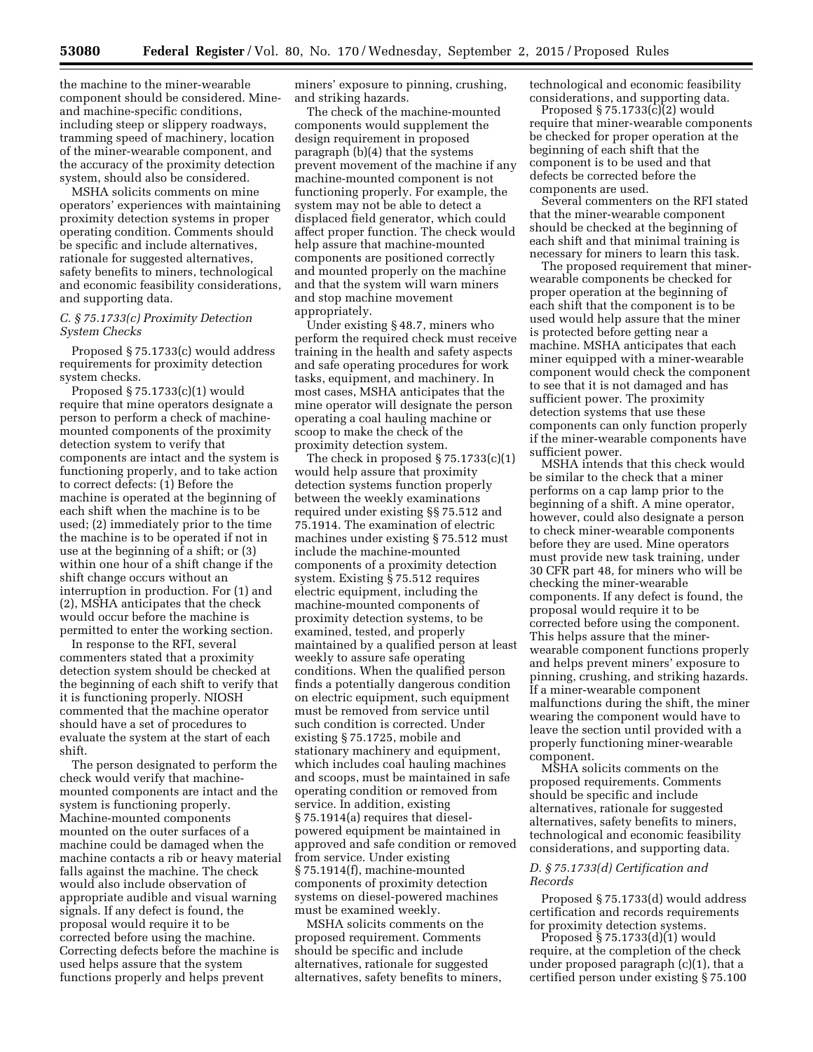the machine to the miner-wearable component should be considered. Mineand machine-specific conditions, including steep or slippery roadways, tramming speed of machinery, location of the miner-wearable component, and the accuracy of the proximity detection system, should also be considered.

MSHA solicits comments on mine operators' experiences with maintaining proximity detection systems in proper operating condition. Comments should be specific and include alternatives, rationale for suggested alternatives, safety benefits to miners, technological and economic feasibility considerations, and supporting data.

### *C. § 75.1733(c) Proximity Detection System Checks*

Proposed § 75.1733(c) would address requirements for proximity detection system checks.

Proposed § 75.1733(c)(1) would require that mine operators designate a person to perform a check of machinemounted components of the proximity detection system to verify that components are intact and the system is functioning properly, and to take action to correct defects: (1) Before the machine is operated at the beginning of each shift when the machine is to be used; (2) immediately prior to the time the machine is to be operated if not in use at the beginning of a shift; or (3) within one hour of a shift change if the shift change occurs without an interruption in production. For (1) and (2), MSHA anticipates that the check would occur before the machine is permitted to enter the working section.

In response to the RFI, several commenters stated that a proximity detection system should be checked at the beginning of each shift to verify that it is functioning properly. NIOSH commented that the machine operator should have a set of procedures to evaluate the system at the start of each shift.

The person designated to perform the check would verify that machinemounted components are intact and the system is functioning properly. Machine-mounted components mounted on the outer surfaces of a machine could be damaged when the machine contacts a rib or heavy material falls against the machine. The check would also include observation of appropriate audible and visual warning signals. If any defect is found, the proposal would require it to be corrected before using the machine. Correcting defects before the machine is used helps assure that the system functions properly and helps prevent

miners' exposure to pinning, crushing, and striking hazards.

The check of the machine-mounted components would supplement the design requirement in proposed paragraph (b)(4) that the systems prevent movement of the machine if any machine-mounted component is not functioning properly. For example, the system may not be able to detect a displaced field generator, which could affect proper function. The check would help assure that machine-mounted components are positioned correctly and mounted properly on the machine and that the system will warn miners and stop machine movement appropriately.

Under existing § 48.7, miners who perform the required check must receive training in the health and safety aspects and safe operating procedures for work tasks, equipment, and machinery. In most cases, MSHA anticipates that the mine operator will designate the person operating a coal hauling machine or scoop to make the check of the proximity detection system.

The check in proposed  $\S 75.1733(c)(1)$ would help assure that proximity detection systems function properly between the weekly examinations required under existing §§ 75.512 and 75.1914. The examination of electric machines under existing § 75.512 must include the machine-mounted components of a proximity detection system. Existing § 75.512 requires electric equipment, including the machine-mounted components of proximity detection systems, to be examined, tested, and properly maintained by a qualified person at least weekly to assure safe operating conditions. When the qualified person finds a potentially dangerous condition on electric equipment, such equipment must be removed from service until such condition is corrected. Under existing § 75.1725, mobile and stationary machinery and equipment, which includes coal hauling machines and scoops, must be maintained in safe operating condition or removed from service. In addition, existing § 75.1914(a) requires that dieselpowered equipment be maintained in approved and safe condition or removed from service. Under existing § 75.1914(f), machine-mounted components of proximity detection systems on diesel-powered machines must be examined weekly.

MSHA solicits comments on the proposed requirement. Comments should be specific and include alternatives, rationale for suggested alternatives, safety benefits to miners, technological and economic feasibility considerations, and supporting data.

Proposed § 75.1733(c)(2) would require that miner-wearable components be checked for proper operation at the beginning of each shift that the component is to be used and that defects be corrected before the components are used.

Several commenters on the RFI stated that the miner-wearable component should be checked at the beginning of each shift and that minimal training is necessary for miners to learn this task.

The proposed requirement that minerwearable components be checked for proper operation at the beginning of each shift that the component is to be used would help assure that the miner is protected before getting near a machine. MSHA anticipates that each miner equipped with a miner-wearable component would check the component to see that it is not damaged and has sufficient power. The proximity detection systems that use these components can only function properly if the miner-wearable components have sufficient power.

MSHA intends that this check would be similar to the check that a miner performs on a cap lamp prior to the beginning of a shift. A mine operator, however, could also designate a person to check miner-wearable components before they are used. Mine operators must provide new task training, under 30 CFR part 48, for miners who will be checking the miner-wearable components. If any defect is found, the proposal would require it to be corrected before using the component. This helps assure that the minerwearable component functions properly and helps prevent miners' exposure to pinning, crushing, and striking hazards. If a miner-wearable component malfunctions during the shift, the miner wearing the component would have to leave the section until provided with a properly functioning miner-wearable component.

MSHA solicits comments on the proposed requirements. Comments should be specific and include alternatives, rationale for suggested alternatives, safety benefits to miners, technological and economic feasibility considerations, and supporting data.

# *D. § 75.1733(d) Certification and Records*

Proposed § 75.1733(d) would address certification and records requirements for proximity detection systems.

Proposed § 75.1733(d)(1) would require, at the completion of the check under proposed paragraph (c)(1), that a certified person under existing § 75.100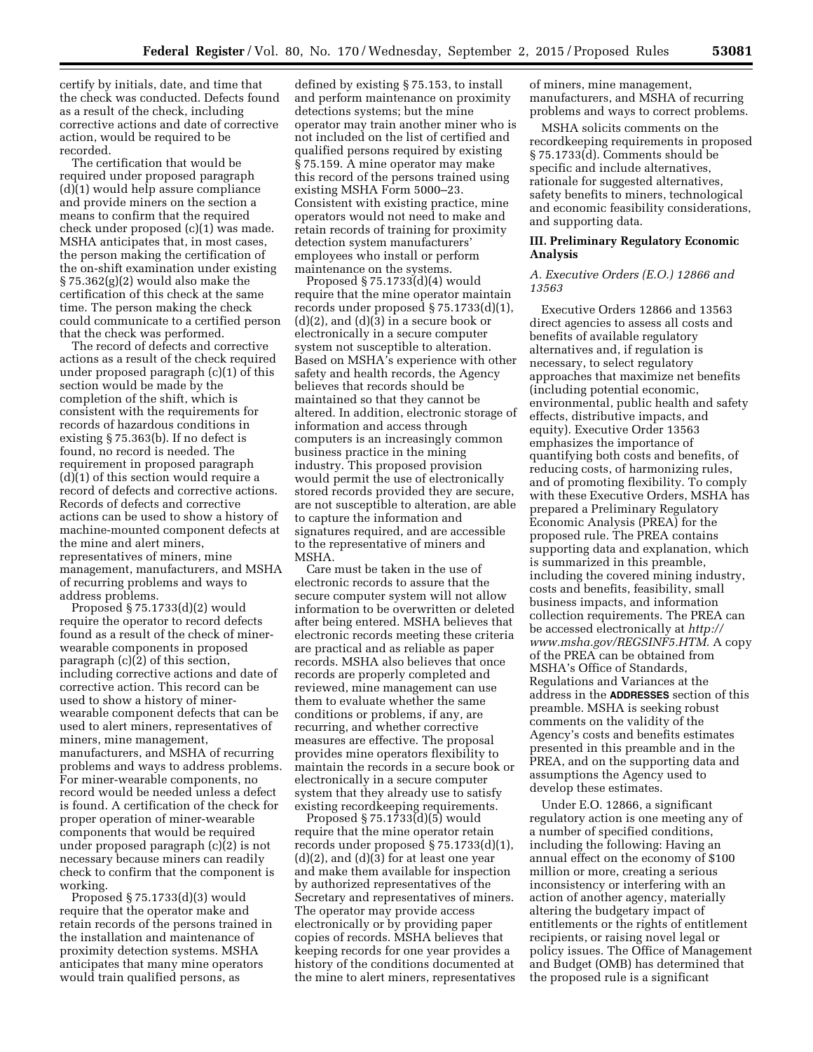certify by initials, date, and time that the check was conducted. Defects found as a result of the check, including corrective actions and date of corrective action, would be required to be recorded.

The certification that would be required under proposed paragraph (d)(1) would help assure compliance and provide miners on the section a means to confirm that the required check under proposed (c)(1) was made. MSHA anticipates that, in most cases, the person making the certification of the on-shift examination under existing  $\S 75.362(g)(2)$  would also make the certification of this check at the same time. The person making the check could communicate to a certified person that the check was performed.

The record of defects and corrective actions as a result of the check required under proposed paragraph (c)(1) of this section would be made by the completion of the shift, which is consistent with the requirements for records of hazardous conditions in existing § 75.363(b). If no defect is found, no record is needed. The requirement in proposed paragraph  $(d)(1)$  of this section would require a record of defects and corrective actions. Records of defects and corrective actions can be used to show a history of machine-mounted component defects at the mine and alert miners, representatives of miners, mine management, manufacturers, and MSHA of recurring problems and ways to address problems.

Proposed § 75.1733(d)(2) would require the operator to record defects found as a result of the check of minerwearable components in proposed paragraph (c)(2) of this section, including corrective actions and date of corrective action. This record can be used to show a history of minerwearable component defects that can be used to alert miners, representatives of miners, mine management, manufacturers, and MSHA of recurring problems and ways to address problems. For miner-wearable components, no record would be needed unless a defect is found. A certification of the check for proper operation of miner-wearable components that would be required under proposed paragraph (c)(2) is not necessary because miners can readily check to confirm that the component is working.

Proposed § 75.1733(d)(3) would require that the operator make and retain records of the persons trained in the installation and maintenance of proximity detection systems. MSHA anticipates that many mine operators would train qualified persons, as

defined by existing § 75.153, to install and perform maintenance on proximity detections systems; but the mine operator may train another miner who is not included on the list of certified and qualified persons required by existing § 75.159. A mine operator may make this record of the persons trained using existing MSHA Form 5000–23. Consistent with existing practice, mine operators would not need to make and retain records of training for proximity detection system manufacturers' employees who install or perform maintenance on the systems.

Proposed § 75.1733(d)(4) would require that the mine operator maintain records under proposed § 75.1733(d)(1),  $(d)(2)$ , and  $(d)(3)$  in a secure book or electronically in a secure computer system not susceptible to alteration. Based on MSHA's experience with other safety and health records, the Agency believes that records should be maintained so that they cannot be altered. In addition, electronic storage of information and access through computers is an increasingly common business practice in the mining industry. This proposed provision would permit the use of electronically stored records provided they are secure, are not susceptible to alteration, are able to capture the information and signatures required, and are accessible to the representative of miners and MSHA.

Care must be taken in the use of electronic records to assure that the secure computer system will not allow information to be overwritten or deleted after being entered. MSHA believes that electronic records meeting these criteria are practical and as reliable as paper records. MSHA also believes that once records are properly completed and reviewed, mine management can use them to evaluate whether the same conditions or problems, if any, are recurring, and whether corrective measures are effective. The proposal provides mine operators flexibility to maintain the records in a secure book or electronically in a secure computer system that they already use to satisfy existing recordkeeping requirements.

Proposed § 75.1733(d)(5) would require that the mine operator retain records under proposed § 75.1733(d)(1),  $(d)(2)$ , and  $(d)(3)$  for at least one year and make them available for inspection by authorized representatives of the Secretary and representatives of miners. The operator may provide access electronically or by providing paper copies of records. MSHA believes that keeping records for one year provides a history of the conditions documented at the mine to alert miners, representatives of miners, mine management, manufacturers, and MSHA of recurring problems and ways to correct problems.

MSHA solicits comments on the recordkeeping requirements in proposed § 75.1733(d). Comments should be specific and include alternatives, rationale for suggested alternatives, safety benefits to miners, technological and economic feasibility considerations, and supporting data.

# **III. Preliminary Regulatory Economic Analysis**

## *A. Executive Orders (E.O.) 12866 and 13563*

Executive Orders 12866 and 13563 direct agencies to assess all costs and benefits of available regulatory alternatives and, if regulation is necessary, to select regulatory approaches that maximize net benefits (including potential economic, environmental, public health and safety effects, distributive impacts, and equity). Executive Order 13563 emphasizes the importance of quantifying both costs and benefits, of reducing costs, of harmonizing rules, and of promoting flexibility. To comply with these Executive Orders, MSHA has prepared a Preliminary Regulatory Economic Analysis (PREA) for the proposed rule. The PREA contains supporting data and explanation, which is summarized in this preamble, including the covered mining industry, costs and benefits, feasibility, small business impacts, and information collection requirements. The PREA can be accessed electronically at *[http://](http://www.msha.gov/REGSINF5.HTM) [www.msha.gov/REGSINF5.HTM.](http://www.msha.gov/REGSINF5.HTM)* A copy of the PREA can be obtained from MSHA's Office of Standards, Regulations and Variances at the address in the **ADDRESSES** section of this preamble. MSHA is seeking robust comments on the validity of the Agency's costs and benefits estimates presented in this preamble and in the PREA, and on the supporting data and assumptions the Agency used to develop these estimates.

Under E.O. 12866, a significant regulatory action is one meeting any of a number of specified conditions, including the following: Having an annual effect on the economy of \$100 million or more, creating a serious inconsistency or interfering with an action of another agency, materially altering the budgetary impact of entitlements or the rights of entitlement recipients, or raising novel legal or policy issues. The Office of Management and Budget (OMB) has determined that the proposed rule is a significant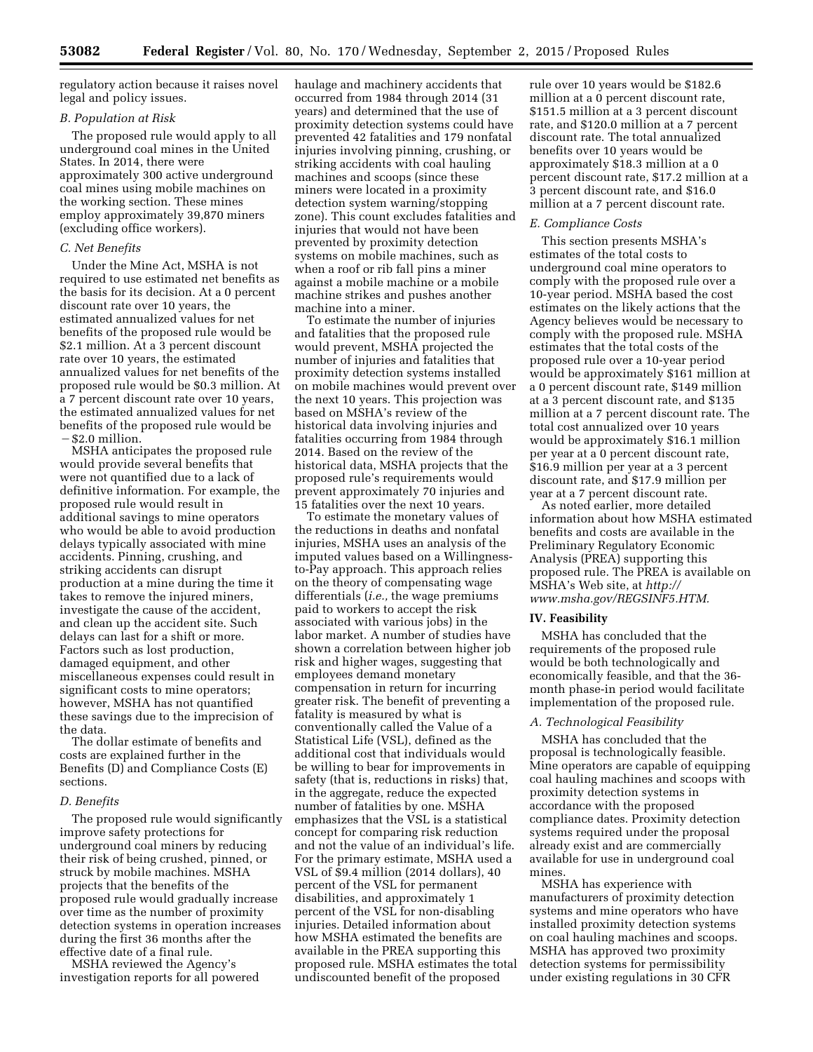regulatory action because it raises novel legal and policy issues.

## *B. Population at Risk*

The proposed rule would apply to all underground coal mines in the United States. In 2014, there were approximately 300 active underground coal mines using mobile machines on the working section. These mines employ approximately 39,870 miners (excluding office workers).

## *C. Net Benefits*

Under the Mine Act, MSHA is not required to use estimated net benefits as the basis for its decision. At a 0 percent discount rate over 10 years, the estimated annualized values for net benefits of the proposed rule would be \$2.1 million. At a 3 percent discount rate over 10 years, the estimated annualized values for net benefits of the proposed rule would be \$0.3 million. At a 7 percent discount rate over 10 years, the estimated annualized values for net benefits of the proposed rule would be ¥\$2.0 million.

MSHA anticipates the proposed rule would provide several benefits that were not quantified due to a lack of definitive information. For example, the proposed rule would result in additional savings to mine operators who would be able to avoid production delays typically associated with mine accidents. Pinning, crushing, and striking accidents can disrupt production at a mine during the time it takes to remove the injured miners, investigate the cause of the accident, and clean up the accident site. Such delays can last for a shift or more. Factors such as lost production, damaged equipment, and other miscellaneous expenses could result in significant costs to mine operators; however, MSHA has not quantified these savings due to the imprecision of the data.

The dollar estimate of benefits and costs are explained further in the Benefits (D) and Compliance Costs (E) sections.

## *D. Benefits*

The proposed rule would significantly improve safety protections for underground coal miners by reducing their risk of being crushed, pinned, or struck by mobile machines. MSHA projects that the benefits of the proposed rule would gradually increase over time as the number of proximity detection systems in operation increases during the first 36 months after the effective date of a final rule.

MSHA reviewed the Agency's investigation reports for all powered haulage and machinery accidents that occurred from 1984 through 2014 (31 years) and determined that the use of proximity detection systems could have prevented 42 fatalities and 179 nonfatal injuries involving pinning, crushing, or striking accidents with coal hauling machines and scoops (since these miners were located in a proximity detection system warning/stopping zone). This count excludes fatalities and injuries that would not have been prevented by proximity detection systems on mobile machines, such as when a roof or rib fall pins a miner against a mobile machine or a mobile machine strikes and pushes another machine into a miner.

To estimate the number of injuries and fatalities that the proposed rule would prevent, MSHA projected the number of injuries and fatalities that proximity detection systems installed on mobile machines would prevent over the next 10 years. This projection was based on MSHA's review of the historical data involving injuries and fatalities occurring from 1984 through 2014. Based on the review of the historical data, MSHA projects that the proposed rule's requirements would prevent approximately 70 injuries and 15 fatalities over the next 10 years.

To estimate the monetary values of the reductions in deaths and nonfatal injuries, MSHA uses an analysis of the imputed values based on a Willingnessto-Pay approach. This approach relies on the theory of compensating wage differentials (*i.e.,* the wage premiums paid to workers to accept the risk associated with various jobs) in the labor market. A number of studies have shown a correlation between higher job risk and higher wages, suggesting that employees demand monetary compensation in return for incurring greater risk. The benefit of preventing a fatality is measured by what is conventionally called the Value of a Statistical Life (VSL), defined as the additional cost that individuals would be willing to bear for improvements in safety (that is, reductions in risks) that, in the aggregate, reduce the expected number of fatalities by one. MSHA emphasizes that the VSL is a statistical concept for comparing risk reduction and not the value of an individual's life. For the primary estimate, MSHA used a VSL of \$9.4 million (2014 dollars), 40 percent of the VSL for permanent disabilities, and approximately 1 percent of the VSL for non-disabling injuries. Detailed information about how MSHA estimated the benefits are available in the PREA supporting this proposed rule. MSHA estimates the total undiscounted benefit of the proposed

rule over 10 years would be \$182.6 million at a 0 percent discount rate, \$151.5 million at a 3 percent discount rate, and \$120.0 million at a 7 percent discount rate. The total annualized benefits over 10 years would be approximately \$18.3 million at a 0 percent discount rate, \$17.2 million at a 3 percent discount rate, and \$16.0 million at a 7 percent discount rate.

#### *E. Compliance Costs*

This section presents MSHA's estimates of the total costs to underground coal mine operators to comply with the proposed rule over a 10-year period. MSHA based the cost estimates on the likely actions that the Agency believes would be necessary to comply with the proposed rule. MSHA estimates that the total costs of the proposed rule over a 10-year period would be approximately \$161 million at a 0 percent discount rate, \$149 million at a 3 percent discount rate, and \$135 million at a 7 percent discount rate. The total cost annualized over 10 years would be approximately \$16.1 million per year at a 0 percent discount rate, \$16.9 million per year at a 3 percent discount rate, and \$17.9 million per year at a 7 percent discount rate.

As noted earlier, more detailed information about how MSHA estimated benefits and costs are available in the Preliminary Regulatory Economic Analysis (PREA) supporting this proposed rule. The PREA is available on MSHA's Web site, at *[http://](http://www.msha.gov/REGSINF5.HTM) [www.msha.gov/REGSINF5.HTM.](http://www.msha.gov/REGSINF5.HTM)* 

### **IV. Feasibility**

MSHA has concluded that the requirements of the proposed rule would be both technologically and economically feasible, and that the 36 month phase-in period would facilitate implementation of the proposed rule.

## *A. Technological Feasibility*

MSHA has concluded that the proposal is technologically feasible. Mine operators are capable of equipping coal hauling machines and scoops with proximity detection systems in accordance with the proposed compliance dates. Proximity detection systems required under the proposal already exist and are commercially available for use in underground coal mines.

MSHA has experience with manufacturers of proximity detection systems and mine operators who have installed proximity detection systems on coal hauling machines and scoops. MSHA has approved two proximity detection systems for permissibility under existing regulations in 30 CFR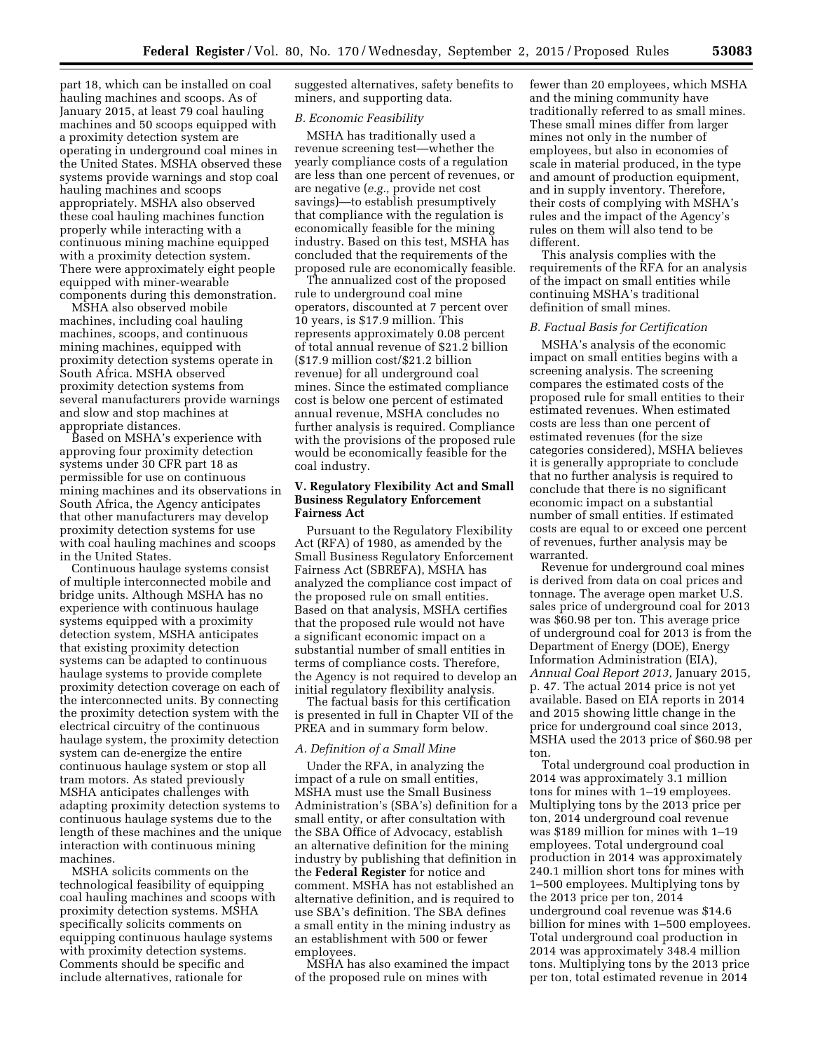part 18, which can be installed on coal hauling machines and scoops. As of January 2015, at least 79 coal hauling machines and 50 scoops equipped with a proximity detection system are operating in underground coal mines in the United States. MSHA observed these systems provide warnings and stop coal hauling machines and scoops appropriately. MSHA also observed these coal hauling machines function properly while interacting with a continuous mining machine equipped with a proximity detection system. There were approximately eight people equipped with miner-wearable components during this demonstration.

MSHA also observed mobile machines, including coal hauling machines, scoops, and continuous mining machines, equipped with proximity detection systems operate in South Africa. MSHA observed proximity detection systems from several manufacturers provide warnings and slow and stop machines at appropriate distances.

Based on MSHA's experience with approving four proximity detection systems under 30 CFR part 18 as permissible for use on continuous mining machines and its observations in South Africa, the Agency anticipates that other manufacturers may develop proximity detection systems for use with coal hauling machines and scoops in the United States.

Continuous haulage systems consist of multiple interconnected mobile and bridge units. Although MSHA has no experience with continuous haulage systems equipped with a proximity detection system, MSHA anticipates that existing proximity detection systems can be adapted to continuous haulage systems to provide complete proximity detection coverage on each of the interconnected units. By connecting the proximity detection system with the electrical circuitry of the continuous haulage system, the proximity detection system can de-energize the entire continuous haulage system or stop all tram motors. As stated previously MSHA anticipates challenges with adapting proximity detection systems to continuous haulage systems due to the length of these machines and the unique interaction with continuous mining machines.

MSHA solicits comments on the technological feasibility of equipping coal hauling machines and scoops with proximity detection systems. MSHA specifically solicits comments on equipping continuous haulage systems with proximity detection systems. Comments should be specific and include alternatives, rationale for

suggested alternatives, safety benefits to miners, and supporting data.

#### *B. Economic Feasibility*

MSHA has traditionally used a revenue screening test—whether the yearly compliance costs of a regulation are less than one percent of revenues, or are negative (*e.g.,* provide net cost savings)—to establish presumptively that compliance with the regulation is economically feasible for the mining industry. Based on this test, MSHA has concluded that the requirements of the proposed rule are economically feasible.

The annualized cost of the proposed rule to underground coal mine operators, discounted at 7 percent over 10 years, is \$17.9 million. This represents approximately 0.08 percent of total annual revenue of \$21.2 billion (\$17.9 million cost/\$21.2 billion revenue) for all underground coal mines. Since the estimated compliance cost is below one percent of estimated annual revenue, MSHA concludes no further analysis is required. Compliance with the provisions of the proposed rule would be economically feasible for the coal industry.

## **V. Regulatory Flexibility Act and Small Business Regulatory Enforcement Fairness Act**

Pursuant to the Regulatory Flexibility Act (RFA) of 1980, as amended by the Small Business Regulatory Enforcement Fairness Act (SBREFA), MSHA has analyzed the compliance cost impact of the proposed rule on small entities. Based on that analysis, MSHA certifies that the proposed rule would not have a significant economic impact on a substantial number of small entities in terms of compliance costs. Therefore, the Agency is not required to develop an initial regulatory flexibility analysis.

The factual basis for this certification is presented in full in Chapter VII of the PREA and in summary form below.

#### *A. Definition of a Small Mine*

Under the RFA, in analyzing the impact of a rule on small entities, MSHA must use the Small Business Administration's (SBA's) definition for a small entity, or after consultation with the SBA Office of Advocacy, establish an alternative definition for the mining industry by publishing that definition in the **Federal Register** for notice and comment. MSHA has not established an alternative definition, and is required to use SBA's definition. The SBA defines a small entity in the mining industry as an establishment with 500 or fewer employees.

MSHA has also examined the impact of the proposed rule on mines with

fewer than 20 employees, which MSHA and the mining community have traditionally referred to as small mines. These small mines differ from larger mines not only in the number of employees, but also in economies of scale in material produced, in the type and amount of production equipment, and in supply inventory. Therefore, their costs of complying with MSHA's rules and the impact of the Agency's rules on them will also tend to be different.

This analysis complies with the requirements of the RFA for an analysis of the impact on small entities while continuing MSHA's traditional definition of small mines.

# *B. Factual Basis for Certification*

MSHA's analysis of the economic impact on small entities begins with a screening analysis. The screening compares the estimated costs of the proposed rule for small entities to their estimated revenues. When estimated costs are less than one percent of estimated revenues (for the size categories considered), MSHA believes it is generally appropriate to conclude that no further analysis is required to conclude that there is no significant economic impact on a substantial number of small entities. If estimated costs are equal to or exceed one percent of revenues, further analysis may be warranted.

Revenue for underground coal mines is derived from data on coal prices and tonnage. The average open market U.S. sales price of underground coal for 2013 was \$60.98 per ton. This average price of underground coal for 2013 is from the Department of Energy (DOE), Energy Information Administration (EIA), *Annual Coal Report 2013,* January 2015, p. 47. The actual 2014 price is not yet available. Based on EIA reports in 2014 and 2015 showing little change in the price for underground coal since 2013, MSHA used the 2013 price of \$60.98 per ton.

Total underground coal production in 2014 was approximately 3.1 million tons for mines with 1–19 employees. Multiplying tons by the 2013 price per ton, 2014 underground coal revenue was \$189 million for mines with 1–19 employees. Total underground coal production in 2014 was approximately 240.1 million short tons for mines with 1–500 employees. Multiplying tons by the 2013 price per ton, 2014 underground coal revenue was \$14.6 billion for mines with 1–500 employees. Total underground coal production in 2014 was approximately 348.4 million tons. Multiplying tons by the 2013 price per ton, total estimated revenue in 2014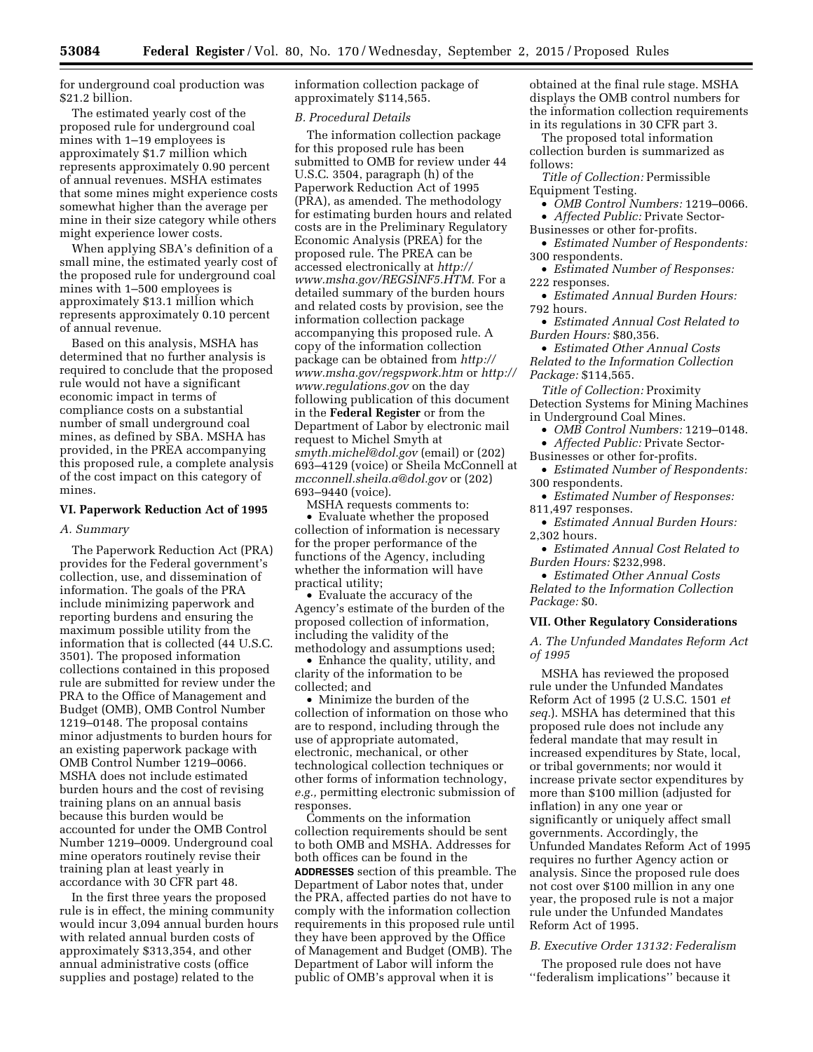for underground coal production was \$21.2 billion.

The estimated yearly cost of the proposed rule for underground coal mines with 1–19 employees is approximately \$1.7 million which represents approximately 0.90 percent of annual revenues. MSHA estimates that some mines might experience costs somewhat higher than the average per mine in their size category while others might experience lower costs.

When applying SBA's definition of a small mine, the estimated yearly cost of the proposed rule for underground coal mines with 1–500 employees is approximately \$13.1 million which represents approximately 0.10 percent of annual revenue.

Based on this analysis, MSHA has determined that no further analysis is required to conclude that the proposed rule would not have a significant economic impact in terms of compliance costs on a substantial number of small underground coal mines, as defined by SBA. MSHA has provided, in the PREA accompanying this proposed rule, a complete analysis of the cost impact on this category of mines.

# **VI. Paperwork Reduction Act of 1995**

#### *A. Summary*

The Paperwork Reduction Act (PRA) provides for the Federal government's collection, use, and dissemination of information. The goals of the PRA include minimizing paperwork and reporting burdens and ensuring the maximum possible utility from the information that is collected (44 U.S.C. 3501). The proposed information collections contained in this proposed rule are submitted for review under the PRA to the Office of Management and Budget (OMB), OMB Control Number 1219–0148. The proposal contains minor adjustments to burden hours for an existing paperwork package with OMB Control Number 1219–0066. MSHA does not include estimated burden hours and the cost of revising training plans on an annual basis because this burden would be accounted for under the OMB Control Number 1219–0009. Underground coal mine operators routinely revise their training plan at least yearly in accordance with 30 CFR part 48.

In the first three years the proposed rule is in effect, the mining community would incur 3,094 annual burden hours with related annual burden costs of approximately \$313,354, and other annual administrative costs (office supplies and postage) related to the

information collection package of approximately \$114,565.

#### *B. Procedural Details*

The information collection package for this proposed rule has been submitted to OMB for review under 44 U.S.C. 3504, paragraph (h) of the Paperwork Reduction Act of 1995 (PRA), as amended. The methodology for estimating burden hours and related costs are in the Preliminary Regulatory Economic Analysis (PREA) for the proposed rule. The PREA can be accessed electronically at *[http://](http://www.msha.gov/REGSINF5.HTM) [www.msha.gov/REGSINF5.HTM.](http://www.msha.gov/REGSINF5.HTM)* For a detailed summary of the burden hours and related costs by provision, see the information collection package accompanying this proposed rule. A copy of the information collection package can be obtained from *[http://](http://www.msha.gov/regspwork.htm) [www.msha.gov/regspwork.htm](http://www.msha.gov/regspwork.htm)* or *[http://](http://www.regulations.gov)  [www.regulations.gov](http://www.regulations.gov)* on the day following publication of this document in the **Federal Register** or from the Department of Labor by electronic mail request to Michel Smyth at *[smyth.michel@dol.gov](mailto:smyth.michel@dol.gov)* (email) or (202) 693–4129 (voice) or Sheila McConnell at *[mcconnell.sheila.a@dol.gov](mailto:mcconnell.sheila.a@dol.gov)* or (202) 693–9440 (voice).

MSHA requests comments to: • Evaluate whether the proposed collection of information is necessary for the proper performance of the functions of the Agency, including whether the information will have practical utility;

• Evaluate the accuracy of the Agency's estimate of the burden of the proposed collection of information, including the validity of the methodology and assumptions used;

• Enhance the quality, utility, and clarity of the information to be collected; and

• Minimize the burden of the collection of information on those who are to respond, including through the use of appropriate automated, electronic, mechanical, or other technological collection techniques or other forms of information technology, *e.g.,* permitting electronic submission of responses.

Comments on the information collection requirements should be sent to both OMB and MSHA. Addresses for both offices can be found in the **ADDRESSES** section of this preamble. The Department of Labor notes that, under the PRA, affected parties do not have to comply with the information collection requirements in this proposed rule until they have been approved by the Office of Management and Budget (OMB). The Department of Labor will inform the public of OMB's approval when it is

obtained at the final rule stage. MSHA displays the OMB control numbers for the information collection requirements in its regulations in 30 CFR part 3.

The proposed total information collection burden is summarized as follows:

*Title of Collection:* Permissible Equipment Testing.

• *OMB Control Numbers:* 1219–0066. • *Affected Public:* Private Sector-

Businesses or other for-profits.

• *Estimated Number of Respondents:*  300 respondents.

• *Estimated Number of Responses:*  222 responses.

• *Estimated Annual Burden Hours:*  792 hours.

• *Estimated Annual Cost Related to Burden Hours:* \$80,356.

• *Estimated Other Annual Costs Related to the Information Collection Package:* \$114,565.

*Title of Collection:* Proximity Detection Systems for Mining Machines in Underground Coal Mines.

• *OMB Control Numbers:* 1219–0148. • *Affected Public:* Private Sector-

Businesses or other for-profits.

• *Estimated Number of Respondents:*  300 respondents.

• *Estimated Number of Responses:*  811,497 responses.

• *Estimated Annual Burden Hours:*  2,302 hours.

• *Estimated Annual Cost Related to Burden Hours:* \$232,998.

• *Estimated Other Annual Costs Related to the Information Collection Package:* \$0.

## **VII. Other Regulatory Considerations**

*A. The Unfunded Mandates Reform Act of 1995* 

MSHA has reviewed the proposed rule under the Unfunded Mandates Reform Act of 1995 (2 U.S.C. 1501 *et seq.*). MSHA has determined that this proposed rule does not include any federal mandate that may result in increased expenditures by State, local, or tribal governments; nor would it increase private sector expenditures by more than \$100 million (adjusted for inflation) in any one year or significantly or uniquely affect small governments. Accordingly, the Unfunded Mandates Reform Act of 1995 requires no further Agency action or analysis. Since the proposed rule does not cost over \$100 million in any one year, the proposed rule is not a major rule under the Unfunded Mandates Reform Act of 1995.

#### *B. Executive Order 13132: Federalism*

The proposed rule does not have ''federalism implications'' because it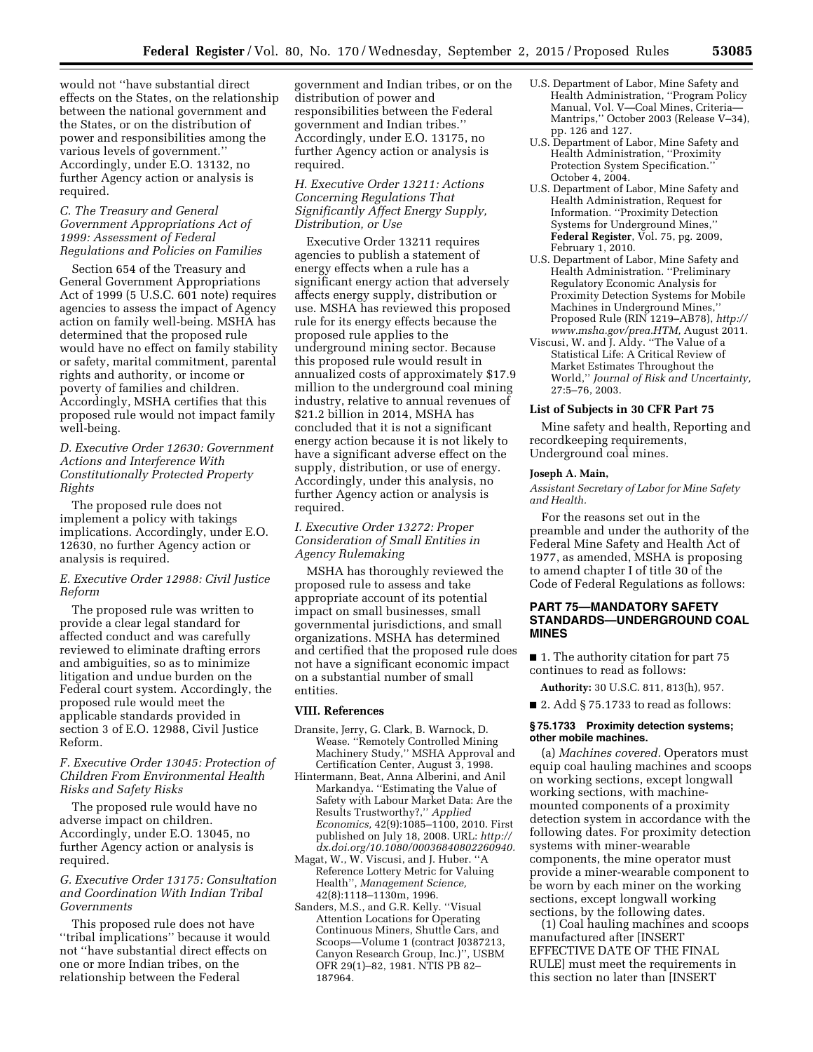would not ''have substantial direct effects on the States, on the relationship between the national government and the States, or on the distribution of power and responsibilities among the various levels of government.'' Accordingly, under E.O. 13132, no further Agency action or analysis is required.

## *C. The Treasury and General Government Appropriations Act of 1999: Assessment of Federal Regulations and Policies on Families*

Section 654 of the Treasury and General Government Appropriations Act of 1999 (5 U.S.C. 601 note) requires agencies to assess the impact of Agency action on family well-being. MSHA has determined that the proposed rule would have no effect on family stability or safety, marital commitment, parental rights and authority, or income or poverty of families and children. Accordingly, MSHA certifies that this proposed rule would not impact family well-being.

# *D. Executive Order 12630: Government Actions and Interference With Constitutionally Protected Property Rights*

The proposed rule does not implement a policy with takings implications. Accordingly, under E.O. 12630, no further Agency action or analysis is required.

# *E. Executive Order 12988: Civil Justice Reform*

The proposed rule was written to provide a clear legal standard for affected conduct and was carefully reviewed to eliminate drafting errors and ambiguities, so as to minimize litigation and undue burden on the Federal court system. Accordingly, the proposed rule would meet the applicable standards provided in section 3 of E.O. 12988, Civil Justice Reform.

# *F. Executive Order 13045: Protection of Children From Environmental Health Risks and Safety Risks*

The proposed rule would have no adverse impact on children. Accordingly, under E.O. 13045, no further Agency action or analysis is required.

# *G. Executive Order 13175: Consultation and Coordination With Indian Tribal Governments*

This proposed rule does not have ''tribal implications'' because it would not ''have substantial direct effects on one or more Indian tribes, on the relationship between the Federal

government and Indian tribes, or on the distribution of power and responsibilities between the Federal government and Indian tribes.'' Accordingly, under E.O. 13175, no further Agency action or analysis is required.

*H. Executive Order 13211: Actions Concerning Regulations That Significantly Affect Energy Supply, Distribution, or Use* 

Executive Order 13211 requires agencies to publish a statement of energy effects when a rule has a significant energy action that adversely affects energy supply, distribution or use. MSHA has reviewed this proposed rule for its energy effects because the proposed rule applies to the underground mining sector. Because this proposed rule would result in annualized costs of approximately \$17.9 million to the underground coal mining industry, relative to annual revenues of \$21.2 billion in 2014, MSHA has concluded that it is not a significant energy action because it is not likely to have a significant adverse effect on the supply, distribution, or use of energy. Accordingly, under this analysis, no further Agency action or analysis is required.

# *I. Executive Order 13272: Proper Consideration of Small Entities in Agency Rulemaking*

MSHA has thoroughly reviewed the proposed rule to assess and take appropriate account of its potential impact on small businesses, small governmental jurisdictions, and small organizations. MSHA has determined and certified that the proposed rule does not have a significant economic impact on a substantial number of small entities.

#### **VIII. References**

- Dransite, Jerry, G. Clark, B. Warnock, D. Wease. ''Remotely Controlled Mining Machinery Study,'' MSHA Approval and Certification Center, August 3, 1998.
- Hintermann, Beat, Anna Alberini, and Anil Markandya. ''Estimating the Value of Safety with Labour Market Data: Are the Results Trustworthy?,'' *Applied Economics,* 42(9):1085–1100, 2010. First published on July 18, 2008. URL: *[http://](http://dx.doi.org/10.1080/00036840802260940) [dx.doi.org/10.1080/00036840802260940.](http://dx.doi.org/10.1080/00036840802260940)*
- Magat, W., W. Viscusi, and J. Huber. ''A Reference Lottery Metric for Valuing Health'', *Management Science,*  42(8):1118–1130m, 1996.
- Sanders, M.S., and G.R. Kelly. ''Visual Attention Locations for Operating Continuous Miners, Shuttle Cars, and Scoops—Volume 1 (contract J0387213, Canyon Research Group, Inc.)'', USBM OFR 29(1)–82, 1981. NTIS PB 82– 187964.
- U.S. Department of Labor, Mine Safety and Health Administration, ''Program Policy Manual, Vol. V—Coal Mines, Criteria— Mantrips,'' October 2003 (Release V–34), pp. 126 and 127.
- U.S. Department of Labor, Mine Safety and Health Administration, ''Proximity Protection System Specification.'' October 4, 2004.
- U.S. Department of Labor, Mine Safety and Health Administration, Request for Information. ''Proximity Detection Systems for Underground Mines,'' **Federal Register**, Vol. 75, pg. 2009, February 1, 2010.
- U.S. Department of Labor, Mine Safety and Health Administration. ''Preliminary Regulatory Economic Analysis for Proximity Detection Systems for Mobile Machines in Underground Mines,'' Proposed Rule (RIN 1219–AB78), *[http://](http://www.msha.gov/prea.HTM)  [www.msha.gov/prea.HTM,](http://www.msha.gov/prea.HTM)* August 2011.
- Viscusi, W. and J. Aldy. ''The Value of a Statistical Life: A Critical Review of Market Estimates Throughout the World,'' *Journal of Risk and Uncertainty,*  27:5–76, 2003.

## **List of Subjects in 30 CFR Part 75**

Mine safety and health, Reporting and recordkeeping requirements, Underground coal mines.

#### **Joseph A. Main,**

*Assistant Secretary of Labor for Mine Safety and Health.* 

For the reasons set out in the preamble and under the authority of the Federal Mine Safety and Health Act of 1977, as amended, MSHA is proposing to amend chapter I of title 30 of the Code of Federal Regulations as follows:

# **PART 75—MANDATORY SAFETY STANDARDS—UNDERGROUND COAL MINES**

■ 1. The authority citation for part 75 continues to read as follows:

**Authority:** 30 U.S.C. 811, 813(h), 957.

 $\blacksquare$  2. Add § 75.1733 to read as follows:

#### **§ 75.1733 Proximity detection systems; other mobile machines.**

(a) *Machines covered.* Operators must equip coal hauling machines and scoops on working sections, except longwall working sections, with machinemounted components of a proximity detection system in accordance with the following dates. For proximity detection systems with miner-wearable components, the mine operator must provide a miner-wearable component to be worn by each miner on the working sections, except longwall working sections, by the following dates.

(1) Coal hauling machines and scoops manufactured after [INSERT EFFECTIVE DATE OF THE FINAL RULE] must meet the requirements in this section no later than [INSERT